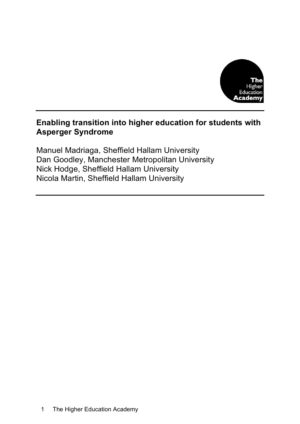

# **Enabling transition into higher education for students with Asperger Syndrome**

Manuel Madriaga, Sheffield Hallam University Dan Goodley, Manchester Metropolitan University Nick Hodge, Sheffield Hallam University Nicola Martin, Sheffield Hallam University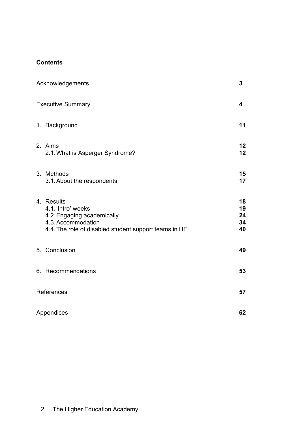# **Contents**

|            | Acknowledgements                                                                                                                              | 3                          |
|------------|-----------------------------------------------------------------------------------------------------------------------------------------------|----------------------------|
|            | <b>Executive Summary</b>                                                                                                                      | 4                          |
|            | 1. Background                                                                                                                                 | 11                         |
|            | 2. Aims<br>2.1. What is Asperger Syndrome?                                                                                                    | 12<br>12                   |
|            | 3. Methods<br>3.1. About the respondents                                                                                                      | 15<br>17                   |
|            | 4. Results<br>4.1. 'Intro' weeks<br>4.2. Engaging academically<br>4.3. Accommodation<br>4.4. The role of disabled student support teams in HE | 18<br>19<br>24<br>34<br>40 |
|            | 5. Conclusion                                                                                                                                 | 49                         |
|            | 6. Recommendations                                                                                                                            | 53                         |
| References |                                                                                                                                               |                            |
|            | Appendices                                                                                                                                    | 62                         |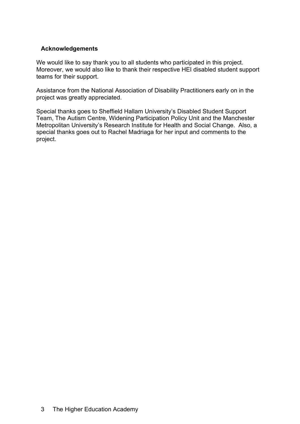# **Acknowledgements**

We would like to say thank you to all students who participated in this project. Moreover, we would also like to thank their respective HEI disabled student support teams for their support.

Assistance from the National Association of Disability Practitioners early on in the project was greatly appreciated.

Special thanks goes to Sheffield Hallam University's Disabled Student Support Team, The Autism Centre, Widening Participation Policy Unit and the Manchester Metropolitan University's Research Institute for Health and Social Change. Also, a special thanks goes out to Rachel Madriaga for her input and comments to the project.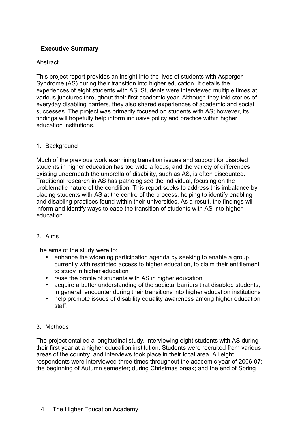# **Executive Summary**

### **Abstract**

This project report provides an insight into the lives of students with Asperger Syndrome (AS) during their transition into higher education. It details the experiences of eight students with AS. Students were interviewed multiple times at various junctures throughout their first academic year. Although they told stories of everyday disabling barriers, they also shared experiences of academic and social successes. The project was primarily focused on students with AS; however, its findings will hopefully help inform inclusive policy and practice within higher education institutions.

#### 1. Background

Much of the previous work examining transition issues and support for disabled students in higher education has too wide a focus, and the variety of differences existing underneath the umbrella of disability, such as AS, is often discounted. Traditional research in AS has pathologised the individual, focusing on the problematic nature of the condition. This report seeks to address this imbalance by placing students with AS at the centre of the process, helping to identify enabling and disabling practices found within their universities. As a result, the findings will inform and identify ways to ease the transition of students with AS into higher education.

#### 2. Aims

The aims of the study were to:

- enhance the widening participation agenda by seeking to enable a group, currently with restricted access to higher education, to claim their entitlement to study in higher education
- raise the profile of students with AS in higher education
- acquire a better understanding of the societal barriers that disabled students, in general, encounter during their transitions into higher education institutions
- help promote issues of disability equality awareness among higher education staff.

#### 3. Methods

The project entailed a longitudinal study, interviewing eight students with AS during their first year at a higher education institution. Students were recruited from various areas of the country, and interviews took place in their local area. All eight respondents were interviewed three times throughout the academic year of 2006-07: the beginning of Autumn semester; during Christmas break; and the end of Spring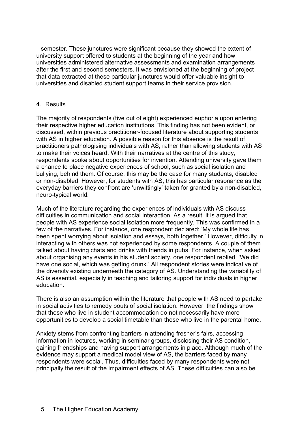semester. These junctures were significant because they showed the extent of university support offered to students at the beginning of the year and how universities administered alternative assessments and examination arrangements after the first and second semesters. It was envisioned at the beginning of project that data extracted at these particular junctures would offer valuable insight to universities and disabled student support teams in their service provision.

#### 4. Results

The majority of respondents (five out of eight) experienced euphoria upon entering their respective higher education institutions. This finding has not been evident, or discussed, within previous practitioner-focused literature about supporting students with AS in higher education. A possible reason for this absence is the result of practitioners pathologising individuals with AS, rather than allowing students with AS to make their voices heard. With their narratives at the centre of this study, respondents spoke about opportunities for invention. Attending university gave them a chance to place negative experiences of school, such as social isolation and bullying, behind them. Of course, this may be the case for many students, disabled or non-disabled. However, for students with AS, this has particular resonance as the everyday barriers they confront are 'unwittingly' taken for granted by a non-disabled, neuro-typical world.

Much of the literature regarding the experiences of individuals with AS discuss difficulties in communication and social interaction. As a result, it is argued that people with AS experience social isolation more frequently. This was confirmed in a few of the narratives. For instance, one respondent declared: 'My whole life has been spent worrying about isolation and essays, both together.' However, difficulty in interacting with others was not experienced by some respondents. A couple of them talked about having chats and drinks with friends in pubs. For instance, when asked about organising any events in his student society, one respondent replied: 'We did have one social, which was getting drunk.' All respondent stories were indicative of the diversity existing underneath the category of AS. Understanding the variability of AS is essential, especially in teaching and tailoring support for individuals in higher education.

There is also an assumption within the literature that people with AS need to partake in social activities to remedy bouts of social isolation. However, the findings show that those who live in student accommodation do not necessarily have more opportunities to develop a social timetable than those who live in the parental home.

Anxiety stems from confronting barriers in attending fresher's fairs, accessing information in lectures, working in seminar groups, disclosing their AS condition, gaining friendships and having support arrangements in place. Although much of the evidence may support a medical model view of AS, the barriers faced by many respondents were social. Thus, difficulties faced by many respondents were not principally the result of the impairment effects of AS. These difficulties can also be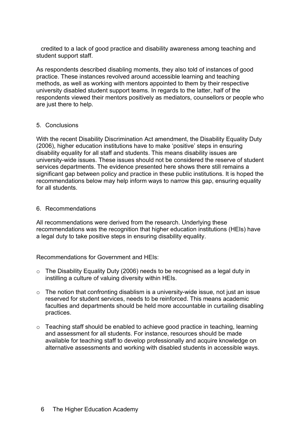credited to a lack of good practice and disability awareness among teaching and student support staff.

As respondents described disabling moments, they also told of instances of good practice. These instances revolved around accessible learning and teaching methods, as well as working with mentors appointed to them by their respective university disabled student support teams. In regards to the latter, half of the respondents viewed their mentors positively as mediators, counsellors or people who are just there to help.

### 5. Conclusions

With the recent Disability Discrimination Act amendment, the Disability Equality Duty (2006), higher education institutions have to make 'positive' steps in ensuring disability equality for all staff and students. This means disability issues are university-wide issues. These issues should not be considered the reserve of student services departments. The evidence presented here shows there still remains a significant gap between policy and practice in these public institutions. It is hoped the recommendations below may help inform ways to narrow this gap, ensuring equality for all students.

#### 6. Recommendations

All recommendations were derived from the research. Underlying these recommendations was the recognition that higher education institutions (HEIs) have a legal duty to take positive steps in ensuring disability equality.

Recommendations for Government and HEIs:

- o The Disability Equality Duty (2006) needs to be recognised as a legal duty in instilling a culture of valuing diversity within HEIs.
- $\circ$  The notion that confronting disablism is a university-wide issue, not just an issue reserved for student services, needs to be reinforced. This means academic faculties and departments should be held more accountable in curtailing disabling practices.
- o Teaching staff should be enabled to achieve good practice in teaching, learning and assessment for all students. For instance, resources should be made available for teaching staff to develop professionally and acquire knowledge on alternative assessments and working with disabled students in accessible ways.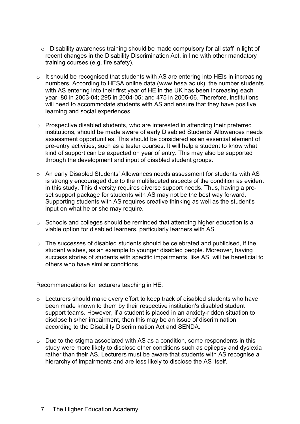- o Disability awareness training should be made compulsory for all staff in light of recent changes in the Disability Discrimination Act, in line with other mandatory training courses (e.g. fire safety).
- o It should be recognised that students with AS are entering into HEIs in increasing numbers. According to HESA online data (www.hesa.ac.uk), the number students with AS entering into their first year of HE in the UK has been increasing each year: 80 in 2003-04; 295 in 2004-05; and 475 in 2005-06. Therefore, institutions will need to accommodate students with AS and ensure that they have positive learning and social experiences.
- o Prospective disabled students, who are interested in attending their preferred institutions, should be made aware of early Disabled Students' Allowances needs assessment opportunities. This should be considered as an essential element of pre-entry activities, such as a taster courses. It will help a student to know what kind of support can be expected on year of entry. This may also be supported through the development and input of disabled student groups.
- o An early Disabled Students' Allowances needs assessment for students with AS is strongly encouraged due to the multifaceted aspects of the condition as evident in this study. This diversity requires diverse support needs. Thus, having a preset support package for students with AS may not be the best way forward. Supporting students with AS requires creative thinking as well as the student's input on what he or she may require.
- o Schools and colleges should be reminded that attending higher education is a viable option for disabled learners, particularly learners with AS.
- o The successes of disabled students should be celebrated and publicised, if the student wishes, as an example to younger disabled people. Moreover, having success stories of students with specific impairments, like AS, will be beneficial to others who have similar conditions.

Recommendations for lecturers teaching in HE:

- o Lecturers should make every effort to keep track of disabled students who have been made known to them by their respective institution's disabled student support teams. However, if a student is placed in an anxiety-ridden situation to disclose his/her impairment, then this may be an issue of discrimination according to the Disability Discrimination Act and SENDA.
- o Due to the stigma associated with AS as a condition, some respondents in this study were more likely to disclose other conditions such as epilepsy and dyslexia rather than their AS. Lecturers must be aware that students with AS recognise a hierarchy of impairments and are less likely to disclose the AS itself.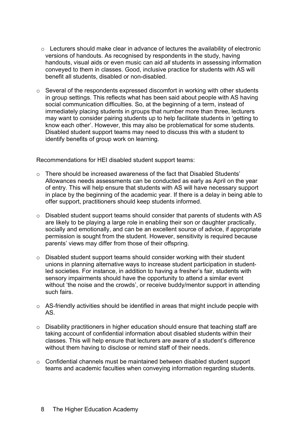- o Lecturers should make clear in advance of lectures the availability of electronic versions of handouts. As recognised by respondents in the study, having handouts, visual aids or even music can aid *all* students in assessing information conveyed to them in classes. Good, inclusive practice for students with AS will benefit all students, disabled or non-disabled.
- o Several of the respondents expressed discomfort in working with other students in group settings. This reflects what has been said about people with AS having social communication difficulties. So, at the beginning of a term, instead of immediately placing students in groups that number more than three, lecturers may want to consider pairing students up to help facilitate students in 'getting to know each other'. However, this may also be problematical for some students. Disabled student support teams may need to discuss this with a student to identify benefits of group work on learning.

Recommendations for HEI disabled student support teams:

- $\circ$  There should be increased awareness of the fact that Disabled Students' Allowances needs assessments can be conducted as early as April on the year of entry. This will help ensure that students with AS will have necessary support in place by the beginning of the academic year. If there is a delay in being able to offer support, practitioners should keep students informed.
- o Disabled student support teams should consider that parents of students with AS are likely to be playing a large role in enabling their son or daughter practically, socially and emotionally, and can be an excellent source of advice, if appropriate permission is sought from the student. However, sensitivity is required because parents' views may differ from those of their offspring.
- o Disabled student support teams should consider working with their student unions in planning alternative ways to increase student participation in studentled societies. For instance, in addition to having a fresher's fair, students with sensory impairments should have the opportunity to attend a similar event without 'the noise and the crowds', or receive buddy/mentor support in attending such fairs.
- o AS-friendly activities should be identified in areas that might include people with AS.
- o Disability practitioners in higher education should ensure that teaching staff are taking account of confidential information about disabled students within their classes. This will help ensure that lecturers are aware of a student's difference without them having to disclose or remind staff of their needs.
- $\circ$  Confidential channels must be maintained between disabled student support teams and academic faculties when conveying information regarding students.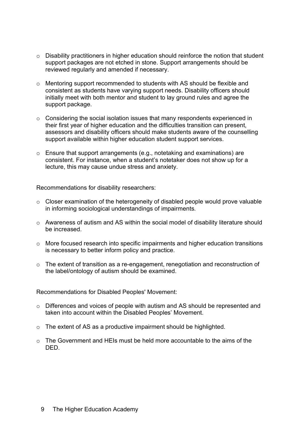- o Disability practitioners in higher education should reinforce the notion that student support packages are not etched in stone. Support arrangements should be reviewed regularly and amended if necessary.
- o Mentoring support recommended to students with AS should be flexible and consistent as students have varying support needs. Disability officers should initially meet with both mentor and student to lay ground rules and agree the support package.
- o Considering the social isolation issues that many respondents experienced in their first year of higher education and the difficulties transition can present, assessors and disability officers should make students aware of the counselling support available within higher education student support services.
- o Ensure that support arrangements (e.g., notetaking and examinations) are consistent. For instance, when a student's notetaker does not show up for a lecture, this may cause undue stress and anxiety.

Recommendations for disability researchers:

- o Closer examination of the heterogeneity of disabled people would prove valuable in informing sociological understandings of impairments.
- o Awareness of autism and AS within the social model of disability literature should be increased.
- o More focused research into specific impairments and higher education transitions is necessary to better inform policy and practice.
- $\circ$  The extent of transition as a re-engagement, renegotiation and reconstruction of the label/ontology of autism should be examined.

Recommendations for Disabled Peoples' Movement:

- o Differences and voices of people with autism and AS should be represented and taken into account within the Disabled Peoples' Movement.
- o The extent of AS as a productive impairment should be highlighted.
- $\circ$  The Government and HEIs must be held more accountable to the aims of the DED.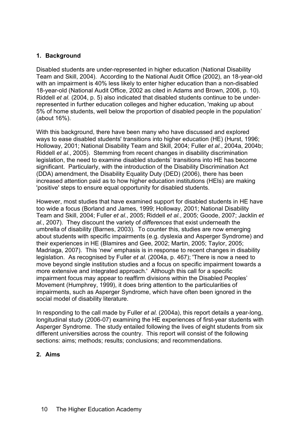# **1. Background**

Disabled students are under-represented in higher education (National Disability Team and Skill, 2004). According to the National Audit Office (2002), an 18-year-old with an impairment is 40% less likely to enter higher education than a non-disabled 18-year-old (National Audit Office, 2002 as cited in Adams and Brown, 2006, p. 10). Riddell *et al.* (2004, p. 5) also indicated that disabled students continue to be underrepresented in further education colleges and higher education, 'making up about 5% of home students, well below the proportion of disabled people in the population' (about 16%).

With this background, there have been many who have discussed and explored ways to ease disabled students' transitions into higher education (HE) (Hurst, 1996; Holloway, 2001; National Disability Team and Skill, 2004; Fuller *et al.*, 2004a, 2004b; Riddell *et al.*, 2005). Stemming from recent changes in disability discrimination legislation, the need to examine disabled students' transitions into HE has become significant. Particularly, with the introduction of the Disability Discrimination Act (DDA) amendment, the Disability Equality Duty (DED) (2006), there has been increased attention paid as to how higher education institutions (HEIs) are making 'positive' steps to ensure equal opportunity for disabled students.

However, most studies that have examined support for disabled students in HE have too wide a focus (Borland and James, 1999; Holloway, 2001; National Disability Team and Skill, 2004; Fuller *et al.*, 2005; Riddell *et al.*, 2005; Goode, 2007; Jacklin *et al.*, 2007). They discount the variety of *differences* that exist underneath the umbrella of disability (Barnes, 2003). To counter this, studies are now emerging about students with specific impairments (e.g. dyslexia and Asperger Syndrome) and their experiences in HE (Blamires and Gee, 2002; Martin, 2005; Taylor, 2005; Madriaga, 2007). This 'new' emphasis is in response to recent changes in disability legislation. As recognised by Fuller *et al.* (2004a, p. 467); 'There is now a need to move beyond single institution studies and a focus on specific impairment towards a more extensive and integrated approach.' Although this call for a specific impairment focus may appear to reaffirm divisions within the Disabled Peoples' Movement (Humphrey, 1999), it does bring attention to the particularities of impairments, such as Asperger Syndrome, which have often been ignored in the social model of disability literature.

In responding to the call made by Fuller *et al.* (2004a), this report details a year-long, longitudinal study (2006-07) examining the HE experiences of first-year students with Asperger Syndrome. The study entailed following the lives of eight students from six different universities across the country. This report will consist of the following sections: aims; methods; results; conclusions; and recommendations.

# **2. Aims**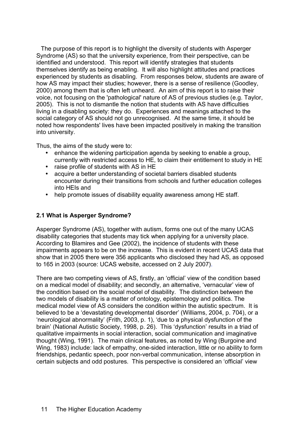The purpose of this report is to highlight the diversity of students with Asperger Syndrome (AS) so that the university experience, from their perspective, can be identified and understood. This report will identify strategies that students themselves identify as being enabling. It will also highlight attitudes and practices experienced by students as disabling. From responses below, students are aware of how AS may impact their studies; however, there is a sense of resilience (Goodley, 2000) among them that is often left unheard. An aim of this report is to raise their voice, not focusing on the 'pathological' nature of AS of previous studies (e.g. Taylor, 2005). This is not to dismantle the notion that students with AS have difficulties living in a disabling society: they do. Experiences and meanings attached to the social category of AS should not go unrecognised. At the same time, it should be noted how respondents' lives have been impacted positively in making the transition into university.

Thus, the aims of the study were to:

- enhance the widening participation agenda by seeking to enable a group, currently with restricted access to HE, to claim their entitlement to study in HE
- raise profile of students with AS in HE<br>• acquire a better understanding of soci-
- acquire a better understanding of societal barriers disabled students encounter during their transitions from schools and further education colleges into HEIs and
- help promote issues of disability equality awareness among HE staff.

# **2.1 What is Asperger Syndrome?**

Asperger Syndrome (AS), together with autism, forms one out of the many UCAS disability categories that students may tick when applying for a university place. According to Blamires and Gee (2002), the incidence of students with these impairments appears to be on the increase. This is evident in recent UCAS data that show that in 2005 there were 356 applicants who disclosed they had AS, as opposed to 165 in 2003 (source: UCAS website, accessed on 2 July 2007).

There are two competing views of AS, firstly, an 'official' view of the condition based on a medical model of disability; and secondly, an alternative, 'vernacular' view of the condition based on the social model of disability. The distinction between the two models of disability is a matter of ontology, epistemology and politics. The medical model view of AS considers the condition within the autistic spectrum. It is believed to be a 'devastating developmental disorder' (Williams, 2004, p. 704), or a 'neurological abnormality' (Frith, 2003, p. 1), 'due to a physical dysfunction of the brain' (National Autistic Society, 1998, p. 26). This 'dysfunction' results in a triad of qualitative impairments in social interaction, social communication and imaginative thought (Wing, 1991). The main clinical features, as noted by Wing (Burgoine and Wing, 1983) include: lack of empathy, one-sided interaction, little or no ability to form friendships, pedantic speech, poor non-verbal communication, intense absorption in certain subjects and odd postures. This perspective is considered an 'official' view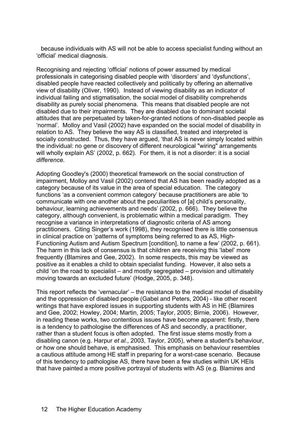because individuals with AS will not be able to access specialist funding without an 'official' medical diagnosis.

Recognising and rejecting 'official' notions of power assumed by medical professionals in categorising disabled people with 'disorders' and 'dysfunctions', disabled people have reacted collectively and politically by offering an alternative view of disability (Oliver, 1990). Instead of viewing disability as an indicator of individual failing and stigmatisation, the social model of disability comprehends disability as purely social phenomena. This means that disabled people are not disabled due to their impairments. They are disabled due to dominant societal attitudes that are perpetuated by taken-for-granted notions of non-disabled people as 'normal'. Molloy and Vasil (2002) have expanded on the social model of disability in relation to AS. They believe the way AS is classified, treated and interpreted is socially constructed. Thus, they have argued, 'that AS is never simply located within the individual: no gene or discovery of different neurological "wiring" arrangements will wholly explain AS' (2002, p. 662). For them, it is not a disorder: it is a social *difference*.

Adopting Goodley's (2000) theoretical framework on the social construction of impairment, Molloy and Vasil (2002) contend that AS has been readily adopted as a category because of its value in the area of special education. The category functions 'as a convenient common category' because practitioners are able 'to communicate with one another about the peculiarities of [a] child's personality, behaviour, learning achievements and needs' (2002, p. 666). They believe the category, although convenient, is problematic within a medical paradigm. They recognise a variance in interpretations of diagnostic criteria of AS among practitioners. Citing Singer's work (1998), they recognised there is little consensus in clinical practice on 'patterns of symptoms being referred to as AS, High-Functioning Autism and Autism Spectrum [condition], to name a few' (2002, p. 661). The harm in this lack of consensus is that children are receiving this 'label' more frequently (Blamires and Gee, 2002). In some respects, this may be viewed as positive as it enables a child to obtain specialist funding. However, it also sets a child 'on the road to specialist – and mostly segregated – provision and ultimately moving towards an excluded future' (Hodge, 2005, p. 348).

This report reflects the 'vernacular' – the resistance to the medical model of disability and the oppression of disabled people (Gabel and Peters, 2004) - like other recent writings that have explored issues in supporting students with AS in HE (Blamires and Gee, 2002; Howley, 2004; Martin, 2005; Taylor, 2005; Birnie, 2006). However, in reading these works, two contentious issues have become apparent: firstly, there is a tendency to pathologise the differences of AS and secondly, a practitioner, rather than a student focus is often adopted. The first issue stems mostly from a disabling canon (e.g. Harpur *et al.*, 2003, Taylor, 2005), where a student's behaviour, or how one should behave, is emphasised. This emphasis on behaviour resembles a cautious attitude among HE staff in preparing for a worst-case scenario. Because of this tendency to pathologise AS, there have been a few studies within UK HEIs that have painted a more positive portrayal of students with AS (e.g. Blamires and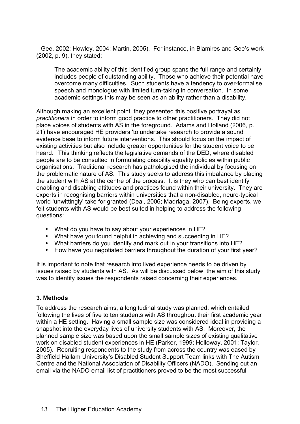Gee, 2002; Howley, 2004; Martin, 2005). For instance, in Blamires and Gee's work (2002, p. 9), they stated:

The academic ability of this identified group spans the full range and certainly includes people of outstanding ability. Those who achieve their potential have overcome many difficulties. Such students have a tendency to over-formalise speech and monologue with limited turn-taking in conversation. In some academic settings this may be seen as an ability rather than a disability.

Although making an excellent point, they presented this positive portrayal as *practitioners* in order to inform good practice to other practitioners. They did not place voices of students with AS in the foreground. Adams and Holland (2006, p. 21) have encouraged HE providers 'to undertake research to provide a sound evidence base to inform future interventions. This should focus on the impact of existing activities but also include greater opportunities for the student voice to be heard.' This thinking reflects the legislative demands of the DED, where disabled people are to be consulted in formulating disability equality policies within public organisations. Traditional research has pathologised the individual by focusing on the problematic nature of AS. This study seeks to address this imbalance by placing the student with AS at the centre of the process. It is they who can best identify enabling and disabling attitudes and practices found within their university. They are experts in recognising barriers within universities that a non-disabled, neuro-typical world 'unwittingly' take for granted (Deal, 2006; Madriaga, 2007). Being experts, we felt students with AS would be best suited in helping to address the following questions:

- What do you have to say about your experiences in HE?
- What have you found helpful in achieving and succeeding in HE?
- What barriers do you identify and mark out in your transitions into HE?
- How have you negotiated barriers throughout the duration of your first year?

It is important to note that research into lived experience needs to be driven by issues raised by students with AS. As will be discussed below, the aim of this study was to identify issues the respondents raised concerning their experiences.

#### **3. Methods**

To address the research aims, a longitudinal study was planned, which entailed following the lives of five to ten students with AS throughout their first academic year within a HE setting. Having a small sample size was considered ideal in providing a snapshot into the everyday lives of university students with AS. Moreover, the planned sample size was based upon the small sample sizes of existing qualitative work on disabled student experiences in HE (Parker, 1999; Holloway, 2001; Taylor, 2005). Recruiting respondents to the study from across the country was eased by Sheffield Hallam University's Disabled Student Support Team links with The Autism Centre and the National Association of Disability Officers (NADO). Sending out an email via the NADO email list of practitioners proved to be the most successful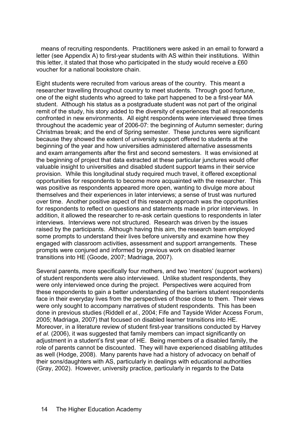means of recruiting respondents. Practitioners were asked in an email to forward a letter (see Appendix A) to first-year students with AS within their institutions. Within this letter, it stated that those who participated in the study would receive a £60 voucher for a national bookstore chain.

Eight students were recruited from various areas of the country. This meant a researcher travelling throughout country to meet students. Through good fortune, one of the eight students who agreed to take part happened to be a first-year MA student. Although his status as a postgraduate student was not part of the original remit of the study, his story added to the diversity of experiences that all respondents confronted in new environments. All eight respondents were interviewed three times throughout the academic year of 2006-07: the beginning of Autumn semester; during Christmas break; and the end of Spring semester. These junctures were significant because they showed the extent of university support offered to students at the beginning of the year and how universities administered alternative assessments and exam arrangements after the first and second semesters. It was envisioned at the beginning of project that data extracted at these particular junctures would offer valuable insight to universities and disabled student support teams in their service provision. While this longitudinal study required much travel, it offered exceptional opportunities for respondents to become more acquainted with the researcher. This was positive as respondents appeared more open, wanting to divulge more about themselves and their experiences in later interviews; a sense of trust was nurtured over time. Another positive aspect of this research approach was the opportunities for respondents to reflect on questions and statements made in prior interviews. In addition, it allowed the researcher to re-ask certain questions to respondents in later interviews. Interviews were not structured. Research was driven by the issues raised by the participants. Although having this aim, the research team employed some prompts to understand their lives before university and examine how they engaged with classroom activities, assessment and support arrangements. These prompts were conjured and informed by previous work on disabled learner transitions into HE (Goode, 2007; Madriaga, 2007).

Several parents, more specifically four mothers, and two 'mentors' (support workers) of student respondents were also interviewed. Unlike student respondents, they were only interviewed once during the project. Perspectives were acquired from these respondents to gain a better understanding of the barriers student respondents face in their everyday lives from the perspectives of those close to them. Their views were only sought to accompany narratives of student respondents. This has been done in previous studies (Riddell *et al.*, 2004; Fife and Tayside Wider Access Forum, 2005; Madriaga, 2007) that focused on disabled learner transitions into HE. Moreover, in a literature review of student first-year transitions conducted by Harvey et al. (2006), it was suggested that family members can impact significantly on adjustment in a student's first year of HE. Being members of a disabled family, the role of parents cannot be discounted. They will have experienced disabling attitudes as well (Hodge, 2008). Many parents have had a history of advocacy on behalf of their sons/daughters with AS, particularly in dealings with educational authorities (Gray, 2002). However, university practice, particularly in regards to the Data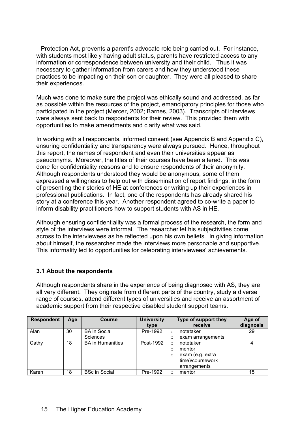Protection Act, prevents a parent's advocate role being carried out. For instance, with students most likely having adult status, parents have restricted access to any information or correspondence between university and their child. Thus it was necessary to gather information from carers and how they understood these practices to be impacting on their son or daughter. They were all pleased to share their experiences.

Much was done to make sure the project was ethically sound and addressed, as far as possible within the resources of the project, emancipatory principles for those who participated in the project (Mercer, 2002; Barnes, 2003). Transcripts of interviews were always sent back to respondents for their review. This provided them with opportunities to make amendments and clarify what was said.

In working with all respondents, informed consent (see Appendix B and Appendix C), ensuring confidentiality and transparency were always pursued. Hence, throughout this report, the names of respondent and even their universities appear as pseudonyms. Moreover, the titles of their courses have been altered. This was done for confidentiality reasons and to ensure respondents of their anonymity. Although respondents understood they would be anonymous, some of them expressed a willingness to help out with dissemination of report findings, in the form of presenting their stories of HE at conferences or writing up their experiences in professional publications. In fact, one of the respondents has already shared his story at a conference this year. Another respondent agreed to co-write a paper to inform disability practitioners how to support students with AS in HE.

Although ensuring confidentiality was a formal process of the research, the form and style of the interviews were informal. The researcher let his subjectivities come across to the interviewees as he reflected upon his own beliefs. In giving information about himself, the researcher made the interviews more personable and supportive. This informality led to opportunities for celebrating interviewees' achievements.

# **3.1 About the respondents**

Although respondents share in the experience of being diagnosed with AS, they are all very different. They originate from different parts of the country, study a diverse range of courses, attend different types of universities and receive an assortment of academic support from their respective disabled student support teams.

| <b>Respondent</b> | Age | <b>Course</b>           | <b>University</b> |          | Type of support they | Age of    |
|-------------------|-----|-------------------------|-------------------|----------|----------------------|-----------|
|                   |     |                         | type              |          | receive              | diagnosis |
| Alan              | 30  | <b>BA</b> in Social     | Pre-1992          | $\Omega$ | notetaker            | 29        |
|                   |     | <b>Sciences</b>         |                   | Ω        | exam arrangements    |           |
| Cathy             | 18  | <b>BA</b> in Humanities | Post-1992         | ∩        | notetaker            | 4         |
|                   |     |                         |                   | $\circ$  | mentor               |           |
|                   |     |                         |                   | $\circ$  | exam (e.g. extra     |           |
|                   |     |                         |                   |          | time)/coursework     |           |
|                   |     |                         |                   |          | arrangements         |           |
| Karen             | 18  | <b>BSc in Social</b>    | Pre-1992          |          | mentor               | 15        |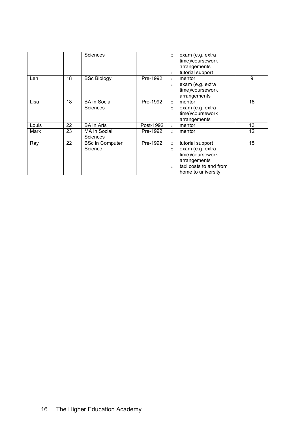|       |    | Sciences                               |           | $\circ$<br>$\circ$            | exam (e.g. extra<br>time)/coursework<br>arrangements<br>tutorial support                                                 |    |
|-------|----|----------------------------------------|-----------|-------------------------------|--------------------------------------------------------------------------------------------------------------------------|----|
| Len   | 18 | <b>BSc Biology</b>                     | Pre-1992  | $\circ$<br>$\circ$            | mentor<br>exam (e.g. extra<br>time)/coursework<br>arrangements                                                           | 9  |
| Lisa  | 18 | <b>BA</b> in Social<br><b>Sciences</b> | Pre-1992  | $\circ$<br>$\circ$            | mentor<br>exam (e.g. extra<br>time)/coursework<br>arrangements                                                           | 18 |
| Louis | 22 | <b>BA</b> in Arts                      | Post-1992 | $\circ$                       | mentor                                                                                                                   | 13 |
| Mark  | 23 | <b>MA in Social</b><br>Sciences        | Pre-1992  | $\circ$                       | mentor                                                                                                                   | 12 |
| Ray   | 22 | <b>BSc in Computer</b><br>Science      | Pre-1992  | $\circ$<br>$\circ$<br>$\circ$ | tutorial support<br>exam (e.g. extra<br>time)/coursework<br>arrangements<br>taxi costs to and from<br>home to university | 15 |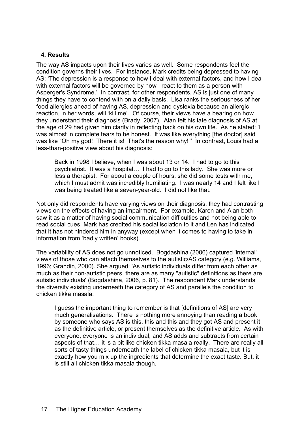### **4. Results**

The way AS impacts upon their lives varies as well. Some respondents feel the condition governs their lives. For instance, Mark credits being depressed to having AS: 'The depression is a response to how I deal with external factors, and how I deal with external factors will be governed by how I react to them as a person with Asperger's Syndrome.' In contrast, for other respondents, AS is just one of many things they have to contend with on a daily basis. Lisa ranks the seriousness of her food allergies ahead of having AS, depression and dyslexia because an allergic reaction, in her words, will 'kill me'. Of course, their views have a bearing on how they understand their diagnosis (Brady, 2007). Alan felt his late diagnosis of AS at the age of 29 had given him clarity in reflecting back on his own life. As he stated: 'I was almost in complete tears to be honest. It was like everything [the doctor] said was like "Oh my god! There it is! That's the reason why!"' In contrast, Louis had a less-than-positive view about his diagnosis:

Back in 1998 I believe, when I was about 13 or 14. I had to go to this psychiatrist. It was a hospital… I had to go to this lady. She was more or less a therapist. For about a couple of hours, she did some tests with me, which I must admit was incredibly humiliating. I was nearly 14 and I felt like I was being treated like a seven-year-old. I did not like that.

Not only did respondents have varying views on their diagnosis, they had contrasting views on the effects of having an impairment. For example, Karen and Alan both saw it as a matter of having social communication difficulties and not being able to read social cues, Mark has credited his social isolation to it and Len has indicated that it has not hindered him in anyway (except when it comes to having to take in information from 'badly written' books).

The variability of AS does not go unnoticed. Bogdashina (2006) captured 'internal' views of those who can attach themselves to the autistic/AS category (e.g. Williams, 1996; Grandin, 2000). She argued: 'As autistic individuals differ from each other as much as their non-autistic peers, there are as many "autistic" definitions as there are autistic individuals' (Bogdashina, 2006, p. 81). The respondent Mark understands the diversity existing underneath the category of AS and parallels the condition to chicken tikka masala:

I guess the important thing to remember is that [definitions of AS] are very much generalisations. There is nothing more annoying than reading a book by someone who says AS is this, this and this and they got AS and present it as the definitive article, or present themselves as the definitive article. As with everyone, everyone is an individual, and AS adds and subtracts from certain aspects of that… it is a bit like chicken tikka masala really. There are really all sorts of tasty things underneath the label of chicken tikka masala, but it is exactly how you mix up the ingredients that determine the exact taste. But, it is still all chicken tikka masala though.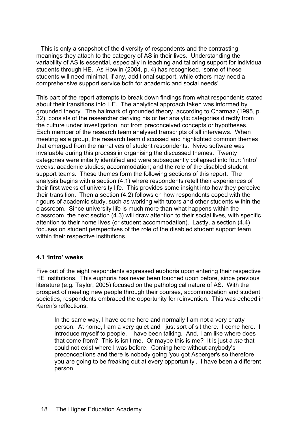This is only a snapshot of the diversity of respondents and the contrasting meanings they attach to the category of AS in their lives. Understanding the variability of AS is essential, especially in teaching and tailoring support for individual students through HE. As Howlin (2004, p. 4) has recognised, 'some of these students will need minimal, if any, additional support, while others may need a comprehensive support service both for academic and social needs'.

This part of the report attempts to break down findings from what respondents stated about their transitions into HE. The analytical approach taken was informed by grounded theory. The hallmark of grounded theory, according to Charmaz (1995, p. 32), consists of the researcher deriving his or her analytic categories directly from the culture under investigation, not from preconceived concepts or hypotheses. Each member of the research team analysed transcripts of all interviews. When meeting as a group, the research team discussed and highlighted common themes that emerged from the narratives of student respondents. Nvivo software was invaluable during this process in organising the discussed themes. Twenty categories were initially identified and were subsequently collapsed into four: 'intro' weeks; academic studies; accommodation; and the role of the disabled student support teams. These themes form the following sections of this report. The analysis begins with a section (4.1) where respondents retell their experiences of their first weeks of university life. This provides some insight into how they perceive their transition. Then a section (4.2) follows on how respondents coped with the rigours of academic study, such as working with tutors and other students within the classroom. Since university life is much more than what happens within the classroom, the next section (4.3) will draw attention to their social lives, with specific attention to their home lives (or student accommodation). Lastly, a section (4.4) focuses on student perspectives of the role of the disabled student support team within their respective institutions.

#### **4.1 'Intro' weeks**

Five out of the eight respondents expressed euphoria upon entering their respective HE institutions. This euphoria has never been touched upon before, since previous literature (e.g. Taylor, 2005) focused on the pathological nature of AS. With the prospect of meeting new people through their courses, accommodation and student societies, respondents embraced the opportunity for reinvention. This was echoed in Karen's reflections:

In the same way, I have come here and normally I am not a very chatty person. At home, I am a very quiet and I just sort of sit there. I come here. I introduce myself to people. I have been talking. And, I am like where does that come from? This is isn't me. Or maybe this is me? It is just a *me* that could not exist where I was before. Coming here without anybody's preconceptions and there is nobody going 'you got Asperger's so therefore you are going to be freaking out at every opportunity'. I have been a different person.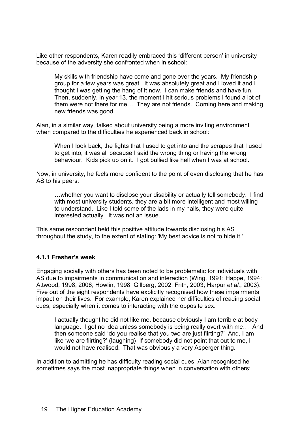Like other respondents, Karen readily embraced this 'different person' in university because of the adversity she confronted when in school:

My skills with friendship have come and gone over the years. My friendship group for a few years was great. It was absolutely great and I loved it and I thought I was getting the hang of it now. I can make friends and have fun. Then, suddenly, in year 13, the moment I hit serious problems I found a lot of them were not there for me… They are not friends. Coming here and making new friends was good.

Alan, in a similar way, talked about university being a more inviting environment when compared to the difficulties he experienced back in school:

When I look back, the fights that I used to get into and the scrapes that I used to get into, it was all because I said the wrong thing or having the wrong behaviour. Kids pick up on it. I got bullied like hell when I was at school.

Now, in university, he feels more confident to the point of even disclosing that he has AS to his peers:

…whether you want to disclose your disability or actually tell somebody. I find with most university students, they are a bit more intelligent and most willing to understand. Like I told some of the lads in my halls, they were quite interested actually. It was not an issue.

This same respondent held this positive attitude towards disclosing his AS throughout the study, to the extent of stating: 'My best advice is not to hide it.'

#### **4.1.1 Fresher's week**

Engaging socially with others has been noted to be problematic for individuals with AS due to impairments in communication and interaction (Wing, 1991; Happe, 1994; Attwood, 1998, 2006; Howlin, 1998; Gillberg, 2002; Frith, 2003; Harpur *et al.*, 2003). Five out of the eight respondents have explicitly recognised how these impairments impact on their lives. For example, Karen explained her difficulties of reading social cues, especially when it comes to interacting with the opposite sex:

I actually thought he did not like me, because obviously I am terrible at body language. I got no idea unless somebody is being really overt with me… And then someone said 'do you realise that you two are just flirting?' And, I am like 'we are flirting?' (laughing) If somebody did not point that out to me, I would not have realised. That was obviously a very Asperger thing.

In addition to admitting he has difficulty reading social cues, Alan recognised he sometimes says the most inappropriate things when in conversation with others: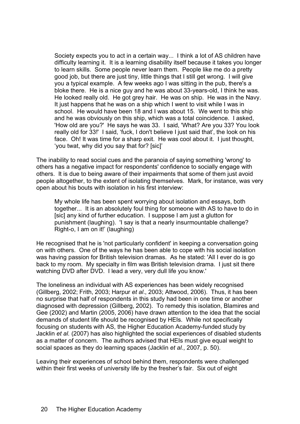Society expects you to act in a certain way... I think a lot of AS children have difficulty learning it. It is a learning disability itself because it takes you longer to learn skills. Some people never learn them. People like me do a pretty good job, but there are just tiny, little things that I still get wrong. I will give you a typical example. A few weeks ago I was sitting in the pub, there's a bloke there. He is a nice guy and he was about 33-years-old, I think he was. He looked really old. He got grey hair. He was on ship. He was in the Navy. It just happens that he was on a ship which I went to visit while I was in school. He would have been 18 and I was about 15. We went to this ship and he was obviously on this ship, which was a total coincidence. I asked, 'How old are you?' He says he was 33. I said, 'What? Are you 33? You look really old for 33!' I said, 'fuck, I don't believe I just said that', the look on his face. Oh! It was time for a sharp exit. He was cool about it. I just thought, 'you twat, why did you say that for? [sic]'

The inability to read social cues and the paranoia of saying something 'wrong' to others has a negative impact for respondents' confidence to socially engage with others. It is due to being aware of their impairments that some of them just avoid people altogether, to the extent of isolating themselves. Mark, for instance, was very open about his bouts with isolation in his first interview:

My whole life has been spent worrying about isolation and essays, both together... It is an absolutely foul thing for someone with AS to have to do in [sic] any kind of further education. I suppose I am just a glutton for punishment (laughing). 'I say is that a nearly insurmountable challenge? Right-o, I am on it!' (laughing)

He recognised that he is 'not particularly confident' in keeping a conversation going on with others. One of the ways he has been able to cope with his social isolation was having passion for British television dramas. As he stated: 'All I ever do is go back to my room. My specialty in film was British television drama. I just sit there watching DVD after DVD. I lead a very, very dull life you know.'

The loneliness an individual with AS experiences has been widely recognised (Gillberg, 2002; Frith, 2003; Harpur *et al*., 2003; Attwood, 2006). Thus, it has been no surprise that half of respondents in this study had been in one time or another diagnosed with depression (Gillberg, 2002). To remedy this isolation, Blamires and Gee (2002) and Martin (2005, 2006) have drawn attention to the idea that the social demands of student life should be recognised by HEIs. While not specifically focusing on students with AS, the Higher Education Academy-funded study by Jacklin *et al.* (2007) has also highlighted the social experiences of disabled students as a matter of concern. The authors advised that HEIs must give equal weight to social spaces as they do learning spaces (Jacklin *et al.*, 2007, p. 50).

Leaving their experiences of school behind them, respondents were challenged within their first weeks of university life by the fresher's fair. Six out of eight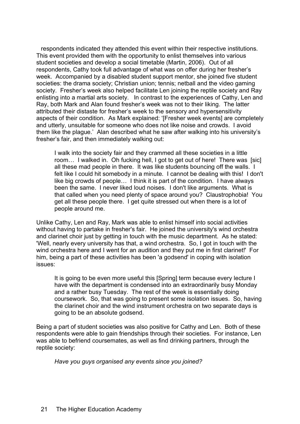respondents indicated they attended this event within their respective institutions. This event provided them with the opportunity to enlist themselves into various student societies and develop a social timetable (Martin, 2006). Out of all respondents, Cathy took full advantage of what was on offer during her fresher's week. Accompanied by a disabled student support mentor, she joined five student societies: the drama society; Christian union; tennis; netball and the video gaming society. Fresher's week also helped facilitate Len joining the reptile society and Ray enlisting into a martial arts society. In contrast to the experiences of Cathy, Len and Ray, both Mark and Alan found fresher's week was not to their liking. The latter attributed their distaste for fresher's week to the sensory and hypersensitivity aspects of their condition. As Mark explained: '[Fresher week events] are completely and utterly, unsuitable for someone who does not like noise and crowds. I avoid them like the plague.' Alan described what he saw after walking into his university's fresher's fair, and then immediately walking out:

I walk into the society fair and they crammed all these societies in a little room… I walked in. Oh fucking hell, I got to get out of here! There was [sic] all these mad people in there. It was like students bouncing off the walls. I felt like I could hit somebody in a minute. I cannot be dealing with this! I don't like big crowds of people… I think it is part of the condition. I have always been the same. I never liked loud noises. I don't like arguments. What is that called when you need plenty of space around you? Claustrophobia! You get all these people there. I get quite stressed out when there is a lot of people around me.

Unlike Cathy, Len and Ray, Mark was able to enlist himself into social activities without having to partake in fresher's fair. He joined the university's wind orchestra and clarinet choir just by getting in touch with the music department. As he stated: 'Well, nearly every university has that, a wind orchestra. So, I got in touch with the wind orchestra here and I went for an audition and they put me in first clarinet!' For him, being a part of these activities has been 'a godsend' in coping with isolation issues:

It is going to be even more useful this [Spring] term because every lecture I have with the department is condensed into an extraordinarily busy Monday and a rather busy Tuesday. The rest of the week is essentially doing coursework. So, that was going to present some isolation issues. So, having the clarinet choir and the wind instrument orchestra on two separate days is going to be an absolute godsend.

Being a part of student societies was also positive for Cathy and Len. Both of these respondents were able to gain friendships through their societies. For instance, Len was able to befriend coursemates, as well as find drinking partners, through the reptile society:

*Have you guys organised any events since you joined?*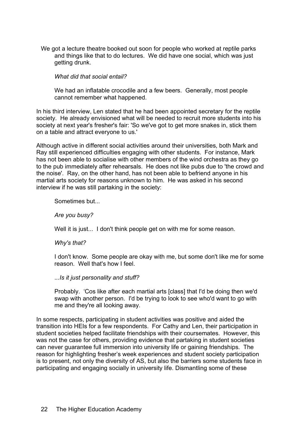We got a lecture theatre booked out soon for people who worked at reptile parks and things like that to do lectures. We did have one social, which was just getting drunk.

#### *What did that social entail?*

We had an inflatable crocodile and a few beers. Generally, most people cannot remember what happened.

In his third interview, Len stated that he had been appointed secretary for the reptile society. He already envisioned what will be needed to recruit more students into his society at next year's fresher's fair: 'So we've got to get more snakes in, stick them on a table and attract everyone to us.'

Although active in different social activities around their universities, both Mark and Ray still experienced difficulties engaging with other students. For instance, Mark has not been able to socialise with other members of the wind orchestra as they go to the pub immediately after rehearsals. He does not like pubs due to 'the crowd and the noise'. Ray, on the other hand, has not been able to befriend anyone in his martial arts society for reasons unknown to him. He was asked in his second interview if he was still partaking in the society:

Sometimes but...

*Are you busy?*

Well it is just... I don't think people get on with me for some reason.

*Why's that?*

I don't know. Some people are okay with me, but some don't like me for some reason. Well that's how I feel.

#### .*..Is it just personality and stuff?*

Probably. 'Cos like after each martial arts [class] that I'd be doing then we'd swap with another person. I'd be trying to look to see who'd want to go with me and they're all looking away.

In some respects, participating in student activities was positive and aided the transition into HEIs for a few respondents. For Cathy and Len, their participation in student societies helped facilitate friendships with their coursemates. However, this was not the case for others, providing evidence that partaking in student societies can never guarantee full immersion into university life or gaining friendships. The reason for highlighting fresher's week experiences and student society participation is to present, not only the diversity of AS, but also the barriers some students face in participating and engaging socially in university life. Dismantling some of these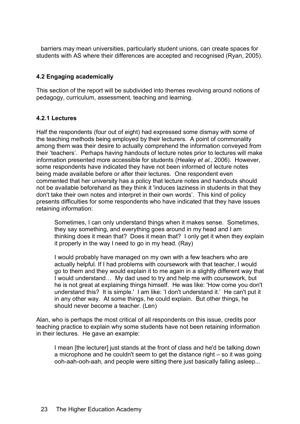barriers may mean universities, particularly student unions, can create spaces for students with AS where their differences are accepted and recognised (Ryan, 2005).

# **4.2 Engaging academically**

This section of the report will be subdivided into themes revolving around notions of pedagogy, curriculum, assessment, teaching and learning.

### **4.2.1 Lectures**

Half the respondents (four out of eight) had expressed some dismay with some of the teaching methods being employed by their lecturers. A point of commonality among them was their desire to actually comprehend the information conveyed from their 'teachers'. Perhaps having handouts of lecture notes prior to lectures will make information presented more accessible for students (Healey *et al.*, 2006). However, some respondents have indicated they have not been informed of lecture notes being made available before or after their lectures. One respondent even commented that her university has a policy that lecture notes and handouts should not be available beforehand as they think it 'induces laziness in students in that they don't take their own notes and interpret in their own words'. This kind of policy presents difficulties for some respondents who have indicated that they have issues retaining information:

Sometimes, I can only understand things when it makes sense. Sometimes, they say something, and everything goes around in my head and I am thinking does it mean that? Does it mean that? I only get it when they explain it properly in the way I need to go in my head. (Ray)

I would probably have managed on my own with a few teachers who are actually helpful. If I had problems with coursework with that teacher, I would go to them and they would explain it to me again in a slightly different way that I would understand… My dad used to try and help me with coursework, but he is not great at explaining things himself. He was like: 'How come you don't understand this? It is simple.' I am like: 'I don't understand it.' He can't put it in any other way. At some things, he could explain. But other things, he should never become a teacher. (Len)

Alan, who is perhaps the most critical of all respondents on this issue, credits poor teaching practice to explain why some students have not been retaining information in their lectures. He gave an example:

I mean [the lecturer] just stands at the front of class and he'd be talking down a microphone and he couldn't seem to get the distance right – so it was going ooh-aah-ooh-aah, and people were sitting there just basically falling asleep...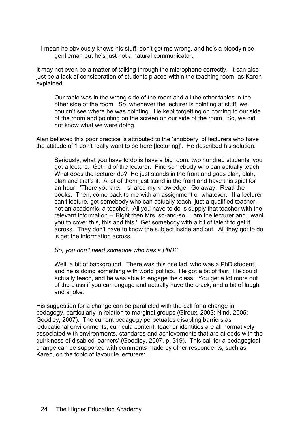I mean he obviously knows his stuff, don't get me wrong, and he's a bloody nice gentleman but he's just not a natural communicator.

It may not even be a matter of talking through the microphone correctly. It can also just be a lack of consideration of students placed within the teaching room, as Karen explained:

Our table was in the wrong side of the room and all the other tables in the other side of the room. So, whenever the lecturer is pointing at stuff, we couldn't see where he was pointing. He kept forgetting on coming to our side of the room and pointing on the screen on our side of the room. So, we did not know what we were doing.

Alan believed this poor practice is attributed to the 'snobbery' of lecturers who have the attitude of 'I don't really want to be here [lecturing]'. He described his solution:

Seriously, what you have to do is have a big room, two hundred students, you got a lecture. Get rid of the lecturer. Find somebody who can actually teach. What does the lecturer do? He just stands in the front and goes blah, blah, blah and that's it. A lot of them just stand in the front and have this spiel for an hour. 'There you are. I shared my knowledge. Go away. Read the books. Then, come back to me with an assignment or whatever.' If a lecturer can't lecture, get somebody who can actually teach, just a qualified teacher, not an academic, a teacher. All you have to do is supply that teacher with the relevant information – 'Right then Mrs. so-and-so. I am the lecturer and I want you to cover this, this and this.' Get somebody with a bit of talent to get it across. They don't have to know the subject inside and out. All they got to do is get the information across.

#### *So, you don't need someone who has a PhD?*

Well, a bit of background. There was this one lad, who was a PhD student, and he is doing something with world politics. He got a bit of flair. He could actually teach, and he was able to engage the class. You get a lot more out of the class if you can engage and actually have the crack, and a bit of laugh and a joke.

His suggestion for a change can be paralleled with the call for a change in pedagogy, particularly in relation to marginal groups (Giroux, 2003; Nind, 2005; Goodley, 2007). The current pedagogy perpetuates disabling barriers as 'educational environments, curricula content, teacher identities are all normatively associated with environments, standards and achievements that are at odds with the quirkiness of disabled learners' (Goodley, 2007, p. 319). This call for a pedagogical change can be supported with comments made by other respondents, such as Karen, on the topic of favourite lecturers: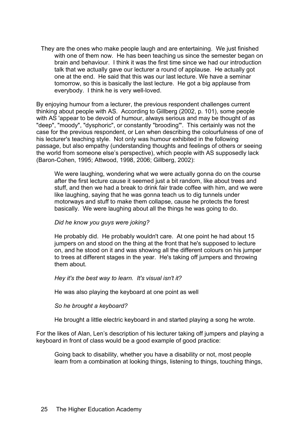They are the ones who make people laugh and are entertaining. We just finished with one of them now. He has been teaching us since the semester began on brain and behaviour. I think it was the first time since we had our introduction talk that we actually gave our lecturer a round of applause. He actually got one at the end. He said that this was our last lecture. We have a seminar tomorrow, so this is basically the last lecture. He got a big applause from everybody. I think he is very well-loved.

By enjoying humour from a lecturer, the previous respondent challenges current thinking about people with AS. According to Gillberg (2002, p. 101), some people with AS 'appear to be devoid of humour, always serious and may be thought of as "deep", "moody", "dysphoric", or constantly "brooding"'. This certainly was not the case for the previous respondent, or Len when describing the colourfulness of one of his lecturer's teaching style. Not only was humour exhibited in the following passage, but also empathy (understanding thoughts and feelings of others or seeing the world from someone else's perspective), which people with AS supposedly lack (Baron-Cohen, 1995; Attwood, 1998, 2006; Gillberg, 2002):

We were laughing, wondering what we were actually gonna do on the course after the first lecture cause it seemed just a bit random, like about trees and stuff, and then we had a break to drink fair trade coffee with him, and we were like laughing, saying that he was gonna teach us to dig tunnels under motorways and stuff to make them collapse, cause he protects the forest basically. We were laughing about all the things he was going to do.

#### *Did he know you guys were joking?*

He probably did. He probably wouldn't care. At one point he had about 15 jumpers on and stood on the thing at the front that he's supposed to lecture on, and he stood on it and was showing all the different colours on his jumper to trees at different stages in the year. He's taking off jumpers and throwing them about.

#### *Hey it's the best way to learn. It's visual isn't it?*

He was also playing the keyboard at one point as well

#### *So he brought a keyboard?*

He brought a little electric keyboard in and started playing a song he wrote.

For the likes of Alan, Len's description of his lecturer taking off jumpers and playing a keyboard in front of class would be a good example of good practice:

Going back to disability, whether you have a disability or not, most people learn from a combination at looking things, listening to things, touching things,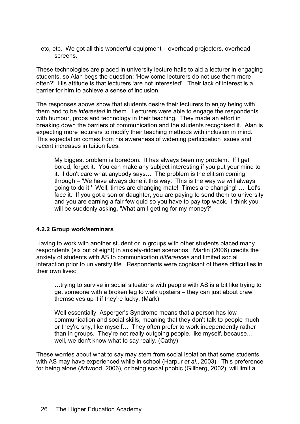etc, etc. We got all this wonderful equipment – overhead projectors, overhead screens.

These technologies are placed in university lecture halls to aid a lecturer in engaging students, so Alan begs the question: 'How come lecturers do not use them more often?' His attitude is that lecturers 'are not interested'. Their lack of interest is a barrier for him to achieve a sense of inclusion.

The responses above show that students desire their lecturers to enjoy being with them and to be *interested* in them. Lecturers were able to engage the respondents with humour, props and technology in their teaching. They made an effort in breaking down the barriers of communication and the students recognised it. Alan is expecting more lecturers to modify their teaching methods with inclusion in mind. This expectation comes from his awareness of widening participation issues and recent increases in tuition fees:

My biggest problem is boredom. It has always been my problem. If I get bored, forget it. You can make any subject interesting if you put your mind to it. I don't care what anybody says… The problem is the elitism coming through – 'We have always done it this way. This is the way we will always going to do it.' Well, times are changing mate! Times are changing! … Let's face it. If you got a son or daughter, you are paying to send them to university and you are earning a fair few quid so you have to pay top wack. I think you will be suddenly asking, 'What am I getting for my money?'

#### **4.2.2 Group work/seminars**

Having to work with another student or in groups with other students placed many respondents (six out of eight) in anxiety-ridden scenarios. Martin (2006) credits the anxiety of students with AS to communication *differences* and limited social interaction prior to university life. Respondents were cognisant of these difficulties in their own lives:

…trying to survive in social situations with people with AS is a bit like trying to get someone with a broken leg to walk upstairs – they can just about crawl themselves up it if they're lucky. (Mark)

Well essentially, Asperger's Syndrome means that a person has low communication and social skills, meaning that they don't talk to people much or they're shy, like myself… They often prefer to work independently rather than in groups. They're not really outgoing people, like myself, because… well, we don't know what to say really. (Cathy)

These worries about what to say may stem from social isolation that some students with AS may have experienced while in school (Harpur *et al*., 2003). This preference for being alone (Attwood, 2006), or being social phobic (Gillberg, 2002), will limit a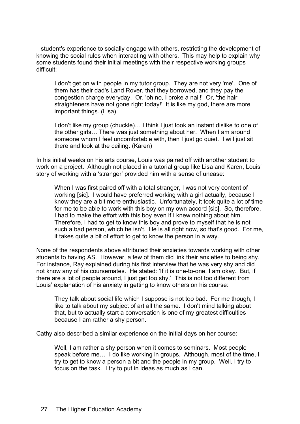student's experience to socially engage with others, restricting the development of knowing the social rules when interacting with others. This may help to explain why some students found their initial meetings with their respective working groups difficult:

I don't get on with people in my tutor group. They are not very 'me'. One of them has their dad's Land Rover, that they borrowed, and they pay the congestion charge everyday. Or, 'oh no, I broke a nail!' Or, 'the hair straighteners have not gone right today!' It is like my god, there are more important things. (Lisa)

I don't like my group (chuckle)… I think I just took an instant dislike to one of the other girls… There was just something about her. When I am around someone whom I feel uncomfortable with, then I just go quiet. I will just sit there and look at the ceiling. (Karen)

In his initial weeks on his arts course, Louis was paired off with another student to work on a project. Although not placed in a tutorial group like Lisa and Karen, Louis' story of working with a 'stranger' provided him with a sense of unease:

When I was first paired off with a total stranger, I was not very content of working [sic]. I would have preferred working with a girl actually, because I know they are a bit more enthusiastic. Unfortunately, it took quite a lot of time for me to be able to work with this boy on my own accord [sic]. So, therefore, I had to make the effort with this boy even if I knew nothing about him. Therefore, I had to get to know this boy and prove to myself that he is not such a bad person, which he isn't. He is all right now, so that's good. For me, it takes quite a bit of effort to get to know the person in a way.

None of the respondents above attributed their anxieties towards working with other students to having AS. However, a few of them did link their anxieties to being shy. For instance, Ray explained during his first interview that he was very shy and did not know any of his coursemates. He stated: 'If it is one-to-one, I am okay. But, if there are a lot of people around, I just get too shy.' This is not too different from Louis' explanation of his anxiety in getting to know others on his course:

They talk about social life which I suppose is not too bad. For me though, I like to talk about my subject of art all the same. I don't mind talking about that, but to actually start a conversation is one of my greatest difficulties because I am rather a shy person.

Cathy also described a similar experience on the initial days on her course:

Well, I am rather a shy person when it comes to seminars. Most people speak before me… I do like working in groups. Although, most of the time, I try to get to know a person a bit and the people in my group. Well, I try to focus on the task. I try to put in ideas as much as I can.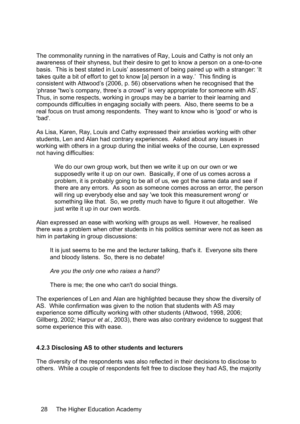The commonality running in the narratives of Ray, Louis and Cathy is not only an awareness of their shyness, but their desire to get to know a person on a one-to-one basis. This is best stated in Louis' assessment of being paired up with a stranger: 'It takes quite a bit of effort to get to know [a] person in a way.' This finding is consistent with Attwood's (2006, p. 56) observations when he recognised that the 'phrase "two's company, three's a crowd" is very appropriate for someone with AS'. Thus, in some respects, working in groups may be a barrier to their learning and compounds difficulties in engaging socially with peers. Also, there seems to be a real focus on trust among respondents. They want to know who is 'good' or who is 'bad'.

As Lisa, Karen, Ray, Louis and Cathy expressed their anxieties working with other students, Len and Alan had contrary experiences. Asked about any issues in working with others in a group during the initial weeks of the course, Len expressed not having difficulties:

We do our own group work, but then we write it up on our own or we supposedly write it up on our own. Basically, if one of us comes across a problem, it is probably going to be all of us, we got the same data and see if there are any errors. As soon as someone comes across an error, the person will ring up everybody else and say 'we took this measurement wrong' or something like that. So, we pretty much have to figure it out altogether. We just write it up in our own words.

Alan expressed an ease with working with groups as well. However, he realised there was a problem when other students in his politics seminar were not as keen as him in partaking in group discussions:

It is just seems to be me and the lecturer talking, that's it. Everyone sits there and bloody listens. So, there is no debate!

*Are you the only one who raises a hand?*

There is me; the one who can't do social things.

The experiences of Len and Alan are highlighted because they show the diversity of AS. While confirmation was given to the notion that students with AS may experience some difficulty working with other students (Attwood, 1998, 2006; Gillberg, 2002; Harpur *et al.*, 2003), there was also contrary evidence to suggest that some experience this with ease.

#### **4.2.3 Disclosing AS to other students and lecturers**

The diversity of the respondents was also reflected in their decisions to disclose to others. While a couple of respondents felt free to disclose they had AS, the majority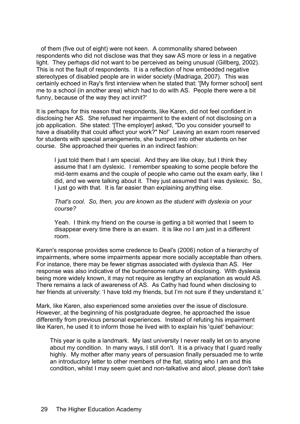of them (five out of eight) were not keen. A commonality shared between respondents who did not disclose was that they saw AS more or less in a negative light. They perhaps did not want to be perceived as being unusual (Gillberg, 2002). This is not the fault of respondents. It is a reflection of how embedded negative stereotypes of disabled people are in wider society (Madriaga, 2007). This was certainly echoed in Ray's first interview when he stated that: '[My former school] sent me to a school (in another area) which had to do with AS. People there were a bit funny, because of the way they act innit?'

It is perhaps for this reason that respondents, like Karen, did not feel confident in disclosing her AS. She refused her impairment to the extent of not disclosing on a job application. She stated: '[The employer] asked, "Do you consider yourself to have a disability that could affect your work?" No!' Leaving an exam room reserved for students with special arrangements, she bumped into other students on her course. She approached their queries in an indirect fashion:

I just told them that I am special. And they are like okay, but I think they assume that I am dyslexic. I remember speaking to some people before the mid-term exams and the couple of people who came out the exam early, like I did, and we were talking about it. They just assumed that I was dyslexic. So, I just go with that. It is far easier than explaining anything else.

*That's cool. So, then, you are known as the student with dyslexia on your course?*

Yeah. I think my friend on the course is getting a bit worried that I seem to disappear every time there is an exam. It is like *no* I am just in a different room.

Karen's response provides some credence to Deal's (2006) notion of a hierarchy of impairments, where some impairments appear more socially acceptable than others. For instance, there may be fewer stigmas associated with dyslexia than AS. Her response was also indicative of the burdensome nature of disclosing. With dyslexia being more widely known, it may not require as lengthy an explanation as would AS. There remains a lack of awareness of AS. As Cathy had found when disclosing to her friends at university: 'I have told my friends, but I'm not sure if they understand it.'

Mark, like Karen, also experienced some anxieties over the issue of disclosure. However, at the beginning of his postgraduate degree, he approached the issue differently from previous personal experiences. Instead of refuting his impairment like Karen, he used it to inform those he lived with to explain his 'quiet' behaviour:

This year is quite a landmark. My last university I never really let on to anyone about my condition. In many ways, I still don't. It is a privacy that I guard really highly. My mother after many years of persuasion finally persuaded me to write an introductory letter to other members of the flat, stating who I am and this condition, whilst I may seem quiet and non-talkative and aloof, please don't take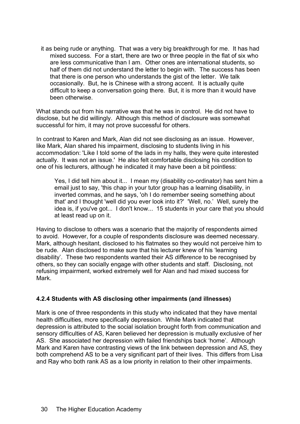it as being rude or anything. That was a very big breakthrough for me. It has had mixed success. For a start, there are two or three people in the flat of six who are less communicative than I am. Other ones are international students, so half of them did not understand the letter to begin with. The success has been that there is one person who understands the gist of the letter. We talk occasionally. But, he is Chinese with a strong accent. It is actually quite difficult to keep a conversation going there. But, it is more than it would have been otherwise.

What stands out from his narrative was that he was in control. He did not have to disclose, but he did willingly. Although this method of disclosure was somewhat successful for him, it may not prove successful for others.

In contrast to Karen and Mark, Alan did not see disclosing as an issue. However, like Mark, Alan shared his impairment, disclosing to students living in his accommodation: 'Like I told some of the lads in my halls, they were quite interested actually. It was not an issue.' He also felt comfortable disclosing his condition to one of his lecturers, although he indicated it may have been a bit pointless:

Yes, I did tell him about it... I mean my (disability co-ordinator) has sent him a email just to say, 'this chap in your tutor group has a learning disability, in inverted commas, and he says, 'oh I do remember seeing something about that' and I thought 'well did you ever look into it?' 'Well, no.' Well, surely the idea is, if you've got... I don't know... 15 students in your care that you should at least read up on it.

Having to disclose to others was a scenario that the majority of respondents aimed to avoid. However, for a couple of respondents disclosure was deemed necessary. Mark, although hesitant, disclosed to his flatmates so they would not perceive him to be rude. Alan disclosed to make sure that his lecturer knew of his 'learning disability'. These two respondents wanted their AS *difference* to be recognised by others, so they can socially engage with other students and staff. Disclosing, not refusing impairment, worked extremely well for Alan and had mixed success for Mark.

# **4.2.4 Students with AS disclosing other impairments (and illnesses)**

Mark is one of three respondents in this study who indicated that they have mental health difficulties, more specifically depression. While Mark indicated that depression is attributed to the social isolation brought forth from communication and sensory difficulties of AS, Karen believed her depression is mutually exclusive of her AS. She associated her depression with failed friendships back 'home'. Although Mark and Karen have contrasting views of the link between depression and AS, they both comprehend AS to be a very significant part of their lives. This differs from Lisa and Ray who both rank AS as a low priority in relation to their other impairments.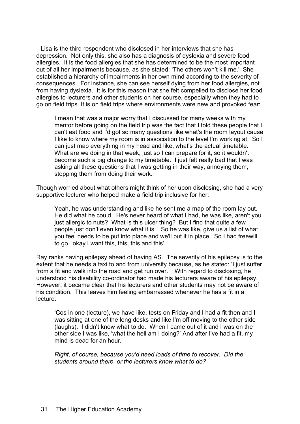Lisa is the third respondent who disclosed in her interviews that she has depression. Not only this, she also has a diagnosis of dyslexia and severe food allergies. It is the food allergies that she has determined to be the most important out of all her impairments because, as she stated: 'The others won't kill me.' She established a hierarchy of impairments in her own mind according to the severity of consequences. For instance, she can see herself dying from her food allergies, not from having dyslexia. It is for this reason that she felt compelled to disclose her food allergies to lecturers and other students on her course, especially when they had to go on field trips. It is on field trips where environments were new and provoked fear:

I mean that was a major worry that I discussed for many weeks with my mentor before going on the field trip was the fact that I told these people that I can't eat food and I'd got so many questions like what's the room layout cause I like to know where my room is in association to the level I'm working at. So I can just map everything in my head and like, what's the actual timetable. What are we doing in that week, just so I can prepare for it, so it wouldn't become such a big change to my timetable. I just felt really bad that I was asking all these questions that I was getting in their way, annoying them, stopping them from doing their work.

Though worried about what others might think of her upon disclosing, she had a very supportive lecturer who helped make a field trip inclusive for her:

Yeah, he was understanding and like he sent me a map of the room lay out. He did what he could. He's never heard of what I had, he was like, aren't you just allergic to nuts? What is this ulcer thing? But I find that quite a few people just don't even know what it is. So he was like, give us a list of what you feel needs to be put into place and we'll put it in place. So I had freewill to go, 'okay I want this, this, this and this'.

Ray ranks having epilepsy ahead of having AS. The severity of his epilepsy is to the extent that he needs a taxi to and from university because, as he stated: 'I just suffer from a fit and walk into the road and get run over.' With regard to disclosing, he understood his disability co-ordinator had made his lecturers aware of his epilepsy. However, it became clear that his lecturers and other students may not be aware of his condition. This leaves him feeling embarrassed whenever he has a fit in a lecture:

'Cos in one (lecture), we have like, tests on Friday and I had a fit then and I was sitting at one of the long desks and like I'm off moving to the other side (laughs). I didn't know what to do. When I came out of it and I was on the other side I was like, 'what the hell am I doing?' And after I've had a fit, my mind is dead for an hour.

*Right, of course, because you'd need loads of time to recover. Did the students around there, or the lecturers know what to do?*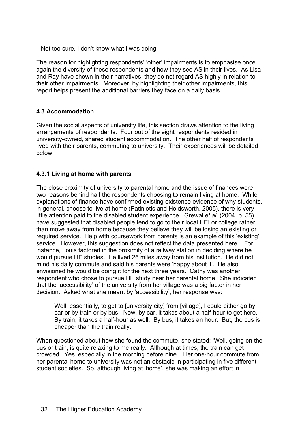Not too sure, I don't know what I was doing.

The reason for highlighting respondents' 'other' impairments is to emphasise once again the diversity of these respondents and how they see AS in their lives. As Lisa and Ray have shown in their narratives, they do not regard AS highly in relation to their other impairments. Moreover, by highlighting their other impairments, this report helps present the additional barriers they face on a daily basis.

# **4.3 Accommodation**

Given the social aspects of university life, this section draws attention to the living arrangements of respondents. Four out of the eight respondents resided in university-owned, shared student accommodation. The other half of respondents lived with their parents, commuting to university. Their experiences will be detailed below.

# **4.3.1 Living at home with parents**

The close proximity of university to parental home and the issue of finances were two reasons behind half the respondents choosing to remain living at home. While explanations of finance have confirmed existing existence evidence of why students, in general, choose to live at home (Patiniotis and Holdsworth, 2005), there is very little attention paid to the disabled student experience. Grewal *et al.* (2004, p. 55) have suggested that disabled people tend to go to their local HEI or college rather than move away from home because they believe they will be losing an existing or required service. Help with coursework from parents is an example of this 'existing' service. However, this suggestion does not reflect the data presented here. For instance, Louis factored in the proximity of a railway station in deciding where he would pursue HE studies. He lived 26 miles away from his institution. He did not mind his daily commute and said his parents were 'happy about it'. He also envisioned he would be doing it for the next three years. Cathy was another respondent who chose to pursue HE study near her parental home. She indicated that the 'accessibility' of the university from her village was a big factor in her decision. Asked what she meant by 'accessibility', her response was:

Well, essentially, to get to [university city] from [village], I could either go by car or by train or by bus. Now, by car, it takes about a half-hour to get here. By train, it takes a half-hour as well. By bus, it takes an hour. But, the bus is cheaper than the train really.

When questioned about how she found the commute, she stated: 'Well, going on the bus or train, is quite relaxing to me really. Although at times, the train can get crowded. Yes, especially in the morning before nine.' Her one-hour commute from her parental home to university was not an obstacle in participating in five different student societies. So, although living at 'home', she was making an effort in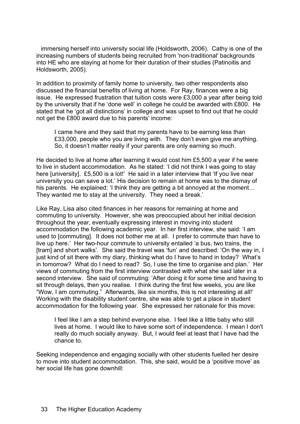immersing herself into university social life (Holdsworth, 2006). Cathy is one of the increasing numbers of students being recruited from 'non-traditional' backgrounds into HE who are staying at home for their duration of their studies (Patinoitis and Holdsworth, 2005).

In addition to proximity of family home to university, two other respondents also discussed the financial benefits of living at home. For Ray, finances were a big issue. He expressed frustration that tuition costs were £3,000 a year after being told by the university that if he 'done well' in college he could be awarded with £800. He stated that he 'got all distinctions' in college and was upset to find out that he could not get the £800 award due to his parents' income:

I came here and they said that my parents have to be earning less than £33,000, people who you are living with. They don't even give me anything. So, it doesn't matter really if your parents are only earning so much.

He decided to live at home after learning it would cost him £5,500 a year if he were to live in student accommodation. As he stated: 'I did not think I was going to stay here [university]. £5,500 is a lot!' He said in a later interview that 'If you live near university you can save a lot.' His decision to remain at home was to the dismay of his parents. He explained: 'I think they are getting a bit annoyed at the moment... They wanted me to stay at the university. They need a break.'

Like Ray, Lisa also cited finances in her reasons for remaining at home and commuting to university. However, she was preoccupied about her initial decision throughout the year, eventually expressing interest in moving into student accommodation the following academic year. In her first interview, she said: 'I am used to [commuting]. It does not bother me at all. I prefer to commute than have to live up here.' Her two-hour commute to university entailed 'a bus, two trains, the [tram] and short walks'. She said the travel was 'fun' and described: 'On the way in, I just kind of sit there with my diary, thinking what do I have to hand in today? What's in tomorrow? What do I need to read? So, I use the time to organise and plan.' Her views of commuting from the first interview contrasted with what she said later in a second interview. She said of commuting: 'After doing it for some time and having to sit through delays, then you realise. I think during the first few weeks, you are like "Wow, I am commuting." Afterwards, like six months, this is not interesting at all!' Working with the disability student centre, she was able to get a place in student accommodation for the following year. She expressed her rationale for this move:

I feel like I am a step behind everyone else. I feel like a little baby who still lives at home. I would like to have some sort of independence. I mean I don't really do much socially anyway. But, I would feel at least that I have had the chance to.

Seeking independence and engaging socially with other students fuelled her desire to move into student accommodation. This, she said, would be a 'positive move' as her social life has gone downhill: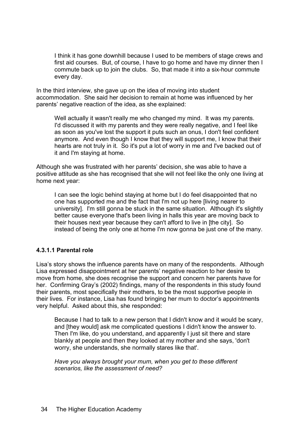I think it has gone downhill because I used to be members of stage crews and first aid courses. But, of course, I have to go home and have my dinner then I commute back up to join the clubs. So, that made it into a six-hour commute every day.

In the third interview, she gave up on the idea of moving into student accommodation. She said her decision to remain at home was influenced by her parents' negative reaction of the idea, as she explained:

Well actually it wasn't really me who changed my mind. It was my parents. I'd discussed it with my parents and they were really negative, and I feel like as soon as you've lost the support it puts such an onus, I don't feel confident anymore. And even though I know that they will support me, I know that their hearts are not truly in it. So it's put a lot of worry in me and I've backed out of it and I'm staying at home.

Although she was frustrated with her parents' decision, she was able to have a positive attitude as she has recognised that she will not feel like the only one living at home next year:

I can see the logic behind staying at home but I do feel disappointed that no one has supported me and the fact that I'm not up here [living nearer to university]. I'm still gonna be stuck in the same situation. Although it's slightly better cause everyone that's been living in halls this year are moving back to their houses next year because they can't afford to live in [the city]. So instead of being the only one at home I'm now gonna be just one of the many.

#### **4.3.1.1 Parental role**

Lisa's story shows the influence parents have on many of the respondents. Although Lisa expressed disappointment at her parents' negative reaction to her desire to move from home, she does recognise the support and concern her parents have for her. Confirming Gray's (2002) findings, many of the respondents in this study found their parents, most specifically their mothers, to be the most supportive people in their lives. For instance, Lisa has found bringing her mum to doctor's appointments very helpful. Asked about this, she responded:

Because I had to talk to a new person that I didn't know and it would be scary, and [they would] ask me complicated questions I didn't know the answer to. Then I'm like, do you understand, and apparently I just sit there and stare blankly at people and then they looked at my mother and she says, 'don't worry, she understands, she normally stares like that'.

*Have you always brought your mum, when you get to these different scenarios, like the assessment of need?*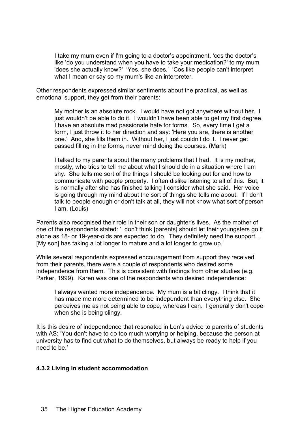I take my mum even if I'm going to a doctor's appointment, 'cos the doctor's like 'do you understand when you have to take your medication?' to my mum 'does she actually know?' 'Yes, she does.' 'Cos like people can't interpret what I mean or say so my mum's like an interpreter.

Other respondents expressed similar sentiments about the practical, as well as emotional support, they get from their parents:

My mother is an absolute rock. I would have not got anywhere without her. I just wouldn't be able to do it. I wouldn't have been able to get my first degree. I have an absolute mad passionate hate for forms. So, every time I get a form, I just throw it to her direction and say: 'Here you are, there is another one.' And, she fills them in. Without her, I just couldn't do it. I never get passed filling in the forms, never mind doing the courses. (Mark)

I talked to my parents about the many problems that I had. It is my mother, mostly, who tries to tell me about what I should do in a situation where I am shy. She tells me sort of the things I should be looking out for and how to communicate with people properly. I often dislike listening to all of this. But, it is normally after she has finished talking I consider what she said. Her voice is going through my mind about the sort of things she tells me about. If I don't talk to people enough or don't talk at all, they will not know what sort of person I am. (Louis)

Parents also recognised their role in their son or daughter's lives. As the mother of one of the respondents stated: 'I don't think [parents] should let their youngsters go it alone as 18- or 19-year-olds are expected to do. They definitely need the support… [My son] has taking a lot longer to mature and a lot longer to grow up.'

While several respondents expressed encouragement from support they received from their parents, there were a couple of respondents who desired some independence from them. This is consistent with findings from other studies (e.g. Parker, 1999). Karen was one of the respondents who desired independence:

I always wanted more independence. My mum is a bit clingy. I think that it has made me more determined to be independent than everything else. She perceives me as not being able to cope, whereas I can. I generally don't cope when she is being clingy.

It is this desire of independence that resonated in Len's advice to parents of students with AS: 'You don't have to do too much worrying or helping, because the person at university has to find out what to do themselves, but always be ready to help if you need to be.'

#### **4.3.2 Living in student accommodation**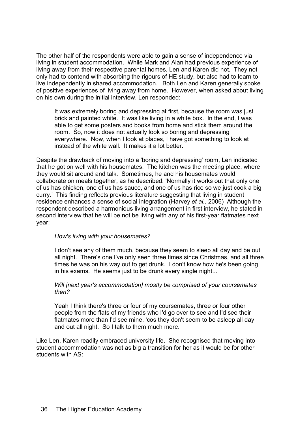The other half of the respondents were able to gain a sense of independence via living in student accommodation. While Mark and Alan had previous experience of living away from their respective parental homes, Len and Karen did not. They not only had to contend with absorbing the rigours of HE study, but also had to learn to live independently in shared accommodation. Both Len and Karen generally spoke of positive experiences of living away from home. However, when asked about living on his own during the initial interview, Len responded:

It was extremely boring and depressing at first, because the room was just brick and painted white. It was like living in a white box. In the end, I was able to get some posters and books from home and stick them around the room. So, now it does not actually look so boring and depressing everywhere. Now, when I look at places, I have got something to look at instead of the white wall. It makes it a lot better.

Despite the drawback of moving into a 'boring and depressing' room, Len indicated that he got on well with his housemates. The kitchen was the meeting place, where they would sit around and talk. Sometimes, he and his housemates would collaborate on meals together, as he described: 'Normally it works out that only one of us has chicken, one of us has sauce, and one of us has rice so we just cook a big curry.' This finding reflects previous literature suggesting that living in student residence enhances a sense of social integration (Harvey *et al.*, 2006) Although the respondent described a harmonious living arrangement in first interview, he stated in second interview that he will be not be living with any of his first-year flatmates next year:

#### *How's living with your housemates?*

I don't see any of them much, because they seem to sleep all day and be out all night. There's one I've only seen three times since Christmas, and all three times he was on his way out to get drunk. I don't know how he's been going in his exams. He seems just to be drunk every single night...

#### *Will [next year's accommodation] mostly be comprised of your coursemates then?*

Yeah I think there's three or four of my coursemates, three or four other people from the flats of my friends who I'd go over to see and I'd see their flatmates more than I'd see mine, 'cos they don't seem to be asleep all day and out all night. So I talk to them much more.

Like Len, Karen readily embraced university life. She recognised that moving into student accommodation was not as big a transition for her as it would be for other students with AS: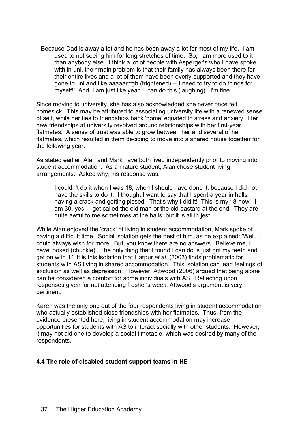Because Dad is away a lot and he has been away a lot for most of my life. I am used to not seeing him for long stretches of time. So, I am more used to it than anybody else. I think a lot of people with Asperger's who I have spoke with in uni, their main problem is that their family has always been there for their entire lives and a lot of them have been overly-supported and they have gone to uni and like aaaaarrrgh (frightened) – 'I need to try to do things for myself!' And, I am just like yeah, I can do this (laughing). I'm fine.

Since moving to university, she has also acknowledged she never once felt homesick. This may be attributed to associating university life with a renewed sense of self, while her ties to friendships back 'home' equated to stress and anxiety. Her new friendships at university revolved around relationships with her first-year flatmates. A sense of trust was able to grow between her and several of her flatmates, which resulted in them deciding to move into a shared house together for the following year.

As stated earlier, Alan and Mark have both lived independently prior to moving into student accommodation. As a mature student, Alan chose student living arrangements. Asked why, his response was:

I couldn't do it when I was 18, when I should have done it, because I did not have the skills to do it. I thought I want to say that I spent a year in halls, having a crack and getting pissed. That's why I did it! This is my 18 now! I am 30, yes. I get called the old man or the old bastard at the end. They are quite awful to me sometimes at the halls, but it is all in jest.

While Alan enjoyed the 'crack' of living in student accommodation, Mark spoke of having a difficult time. Social isolation gets the best of him, as he explained: 'Well, I could always wish for more. But, you know there are no answers. Believe me, I have looked (chuckle). The only thing that I found I can do is just grit my teeth and get on with it.' It is this isolation that Harpur *et al*. (2003) finds problematic for students with AS living in shared accommodation. This isolation can lead feelings of exclusion as well as depression. However, Attwood (2006) argued that being alone can be considered a comfort for some individuals with AS. Reflecting upon responses given for not attending fresher's week, Attwood's argument is very pertinent.

Karen was the only one out of the four respondents living in student accommodation who actually established close friendships with her flatmates. Thus, from the evidence presented here, living in student accommodation may increase opportunities for students with AS to interact socially with other students. However, it may not aid one to develop a social timetable, which was desired by many of the respondents.

#### **4.4 The role of disabled student support teams in HE**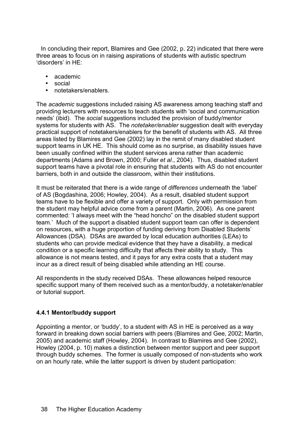In concluding their report, Blamires and Gee (2002, p. 22) indicated that there were three areas to focus on in raising aspirations of students with autistic spectrum 'disorders' in HE:

- academic
- social
- notetakers/enablers.

The *academic* suggestions included raising AS awareness among teaching staff and providing lecturers with resources to teach students with 'social and communication needs' (ibid). The *social* suggestions included the provision of buddy/mentor systems for students with AS. The *notetaker/enabler* suggestion dealt with everyday practical support of notetakers/enablers for the benefit of students with AS. All three areas listed by Blamires and Gee (2002) lay in the remit of many disabled student support teams in UK HE. This should come as no surprise, as disability issues have been usually confined within the student services arena rather than academic departments (Adams and Brown, 2000; Fuller *et al*., 2004). Thus, disabled student support teams have a pivotal role in ensuring that students with AS do not encounter barriers, both in and outside the classroom, within their institutions.

It must be reiterated that there is a wide range of *differences* underneath the 'label' of AS (Bogdashina, 2006; Howley, 2004). As a result, disabled student support teams have to be flexible and offer a variety of support. Only with permission from the student may helpful advice come from a parent (Martin, 2006). As one parent commented: 'I always meet with the "head honcho" on the disabled student support team.' Much of the support a disabled student support team can offer is dependent on resources, with a huge proportion of funding deriving from Disabled Students' Allowances (DSA). DSAs are awarded by local education authorities (LEAs) to students who can provide medical evidence that they have a disability, a medical condition or a specific learning difficulty that affects their ability to study. This allowance is not means tested, and it pays for any extra costs that a student may incur as a direct result of being disabled while attending an HE course.

All respondents in the study received DSAs. These allowances helped resource specific support many of them received such as a mentor/buddy, a notetaker/enabler or tutorial support.

#### **4.4.1 Mentor/buddy support**

Appointing a mentor, or 'buddy', to a student with AS in HE is perceived as a way forward in breaking down social barriers with peers (Blamires and Gee, 2002; Martin, 2005) and academic staff (Howley, 2004). In contrast to Blamires and Gee (2002), Howley (2004, p. 10) makes a distinction between mentor support and peer support through buddy schemes. The former is usually composed of non-students who work on an hourly rate, while the latter support is driven by student participation: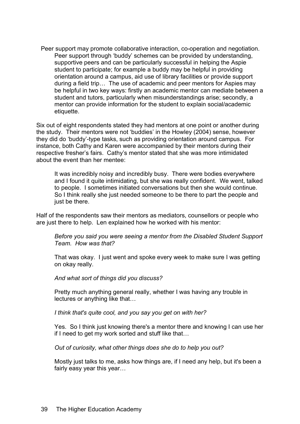Peer support may promote collaborative interaction, co-operation and negotiation. Peer support through 'buddy' schemes can be provided by understanding, supportive peers and can be particularly successful in helping the Aspie student to participate; for example a buddy may be helpful in providing orientation around a campus, aid use of library facilities or provide support during a field trip… The use of academic and peer mentors for Aspies may be helpful in two key ways: firstly an academic mentor can mediate between a student and tutors, particularly when misunderstandings arise; secondly, a mentor can provide information for the student to explain social/academic etiquette.

Six out of eight respondents stated they had mentors at one point or another during the study. Their mentors were not 'buddies' in the Howley (2004) sense, however they did do 'buddy'-type tasks, such as providing orientation around campus. For instance, both Cathy and Karen were accompanied by their mentors during their respective fresher's fairs. Cathy's mentor stated that she was more intimidated about the event than her mentee:

It was incredibly noisy and incredibly busy. There were bodies everywhere and I found it quite intimidating, but she was really confident. We went, talked to people. I sometimes initiated conversations but then she would continue. So I think really she just needed someone to be there to part the people and just be there.

Half of the respondents saw their mentors as mediators, counsellors or people who are just there to help. Len explained how he worked with his mentor:

*Before you said you were seeing a mentor from the Disabled Student Support Team. How was that?*

That was okay. I just went and spoke every week to make sure I was getting on okay really.

*And what sort of things did you discuss?*

Pretty much anything general really, whether I was having any trouble in lectures or anything like that…

*I think that's quite cool, and you say you get on with her?*

Yes. So I think just knowing there's a mentor there and knowing I can use her if I need to get my work sorted and stuff like that…

*Out of curiosity, what other things does she do to help you out?*

Mostly just talks to me, asks how things are, if I need any help, but it's been a fairly easy year this year…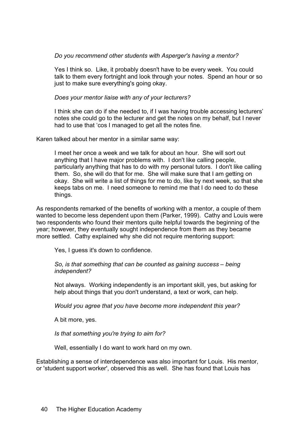*Do you recommend other students with Asperger's having a mentor?*

Yes I think so. Like, it probably doesn't have to be every week. You could talk to them every fortnight and look through your notes. Spend an hour or so just to make sure everything's going okay.

*Does your mentor liaise with any of your lecturers?*

I think she can do if she needed to, if I was having trouble accessing lecturers' notes she could go to the lecturer and get the notes on my behalf, but I never had to use that 'cos I managed to get all the notes fine.

Karen talked about her mentor in a similar same way:

I meet her once a week and we talk for about an hour. She will sort out anything that I have major problems with. I don't like calling people, particularly anything that has to do with my personal tutors. I don't like calling them. So, she will do that for me. She will make sure that I am getting on okay. She will write a list of things for me to do, like by next week, so that she keeps tabs on me. I need someone to remind me that I do need to do these things.

As respondents remarked of the benefits of working with a mentor, a couple of them wanted to become less dependent upon them (Parker, 1999). Cathy and Louis were two respondents who found their mentors quite helpful towards the beginning of the year; however, they eventually sought independence from them as they became more settled. Cathy explained why she did not require mentoring support:

Yes, I guess it's down to confidence.

*So, is that something that can be counted as gaining success – being independent?*

Not always. Working independently is an important skill, yes, but asking for help about things that you don't understand, a text or work, can help.

*Would you agree that you have become more independent this year?*

A bit more, yes.

*Is that something you're trying to aim for?*

Well, essentially I do want to work hard on my own.

Establishing a sense of interdependence was also important for Louis. His mentor, or 'student support worker', observed this as well. She has found that Louis has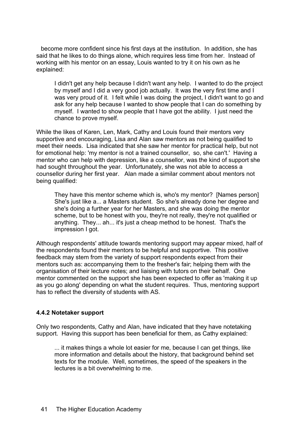become more confident since his first days at the institution. In addition, she has said that he likes to do things alone, which requires less time from her. Instead of working with his mentor on an essay, Louis wanted to try it on his own as he explained:

I didn't get any help because I didn't want any help. I wanted to do the project by myself and I did a very good job actually. It was the very first time and I was very proud of it. I felt while I was doing the project, I didn't want to go and ask for any help because I wanted to show people that I can do something by myself. I wanted to show people that I have got the ability. I just need the chance to prove myself.

While the likes of Karen, Len, Mark, Cathy and Louis found their mentors very supportive and encouraging, Lisa and Alan saw mentors as not being qualified to meet their needs. Lisa indicated that she saw her mentor for practical help, but not for emotional help: 'my mentor is not a trained counsellor, so, she can't.' Having a mentor who can help with depression, like a counsellor, was the kind of support she had sought throughout the year. Unfortunately, she was not able to access a counsellor during her first year. Alan made a similar comment about mentors not being qualified:

They have this mentor scheme which is, who's my mentor? [Names person] She's just like a... a Masters student. So she's already done her degree and she's doing a further year for her Masters, and she was doing the mentor scheme, but to be honest with you, they're not really, they're not qualified or anything. They... ah... it's just a cheap method to be honest. That's the impression I got.

Although respondents' attitude towards mentoring support may appear mixed, half of the respondents found their mentors to be helpful and supportive. This positive feedback may stem from the variety of support respondents expect from their mentors such as: accompanying them to the fresher's fair; helping them with the organisation of their lecture notes; and liaising with tutors on their behalf. One mentor commented on the support she has been expected to offer as 'making it up as you go along' depending on what the student requires. Thus, mentoring support has to reflect the diversity of students with AS.

#### **4.4.2 Notetaker support**

Only two respondents, Cathy and Alan, have indicated that they have notetaking support. Having this support has been beneficial for them, as Cathy explained:

... it makes things a whole lot easier for me, because I can get things, like more information and details about the history, that background behind set texts for the module. Well, sometimes, the speed of the speakers in the lectures is a bit overwhelming to me.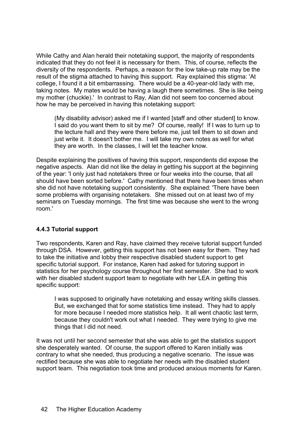While Cathy and Alan herald their notetaking support, the majority of respondents indicated that they do not feel it is necessary for them. This, of course, reflects the diversity of the respondents. Perhaps, a reason for the low take-up rate may be the result of the stigma attached to having this support. Ray explained this stigma: 'At college, I found it a bit embarrassing. There would be a 40-year-old lady with me, taking notes. My mates would be having a laugh there sometimes. She is like being my mother (chuckle).' In contrast to Ray, Alan did not seem too concerned about how he may be perceived in having this notetaking support:

(My disability advisor) asked me if I wanted [staff and other student] to know. I said do you want them to sit by me? Of course, really! If I was to turn up to the lecture hall and they were there before me, just tell them to sit down and just write it. It doesn't bother me. I will take my own notes as well for what they are worth. In the classes, I will let the teacher know.

Despite explaining the positives of having this support, respondents did expose the negative aspects. Alan did not like the delay in getting his support at the beginning of the year: 'I only just had notetakers three or four weeks into the course, that all should have been sorted before.' Cathy mentioned that there have been times when she did not have notetaking support consistently. She explained: 'There have been some problems with organising notetakers. She missed out on at least two of my seminars on Tuesday mornings. The first time was because she went to the wrong room.'

# **4.4.3 Tutorial support**

Two respondents, Karen and Ray, have claimed they receive tutorial support funded through DSA. However, getting this support has not been easy for them. They had to take the initiative and lobby their respective disabled student support to get specific tutorial support. For instance, Karen had asked for tutoring support in statistics for her psychology course throughout her first semester. She had to work with her disabled student support team to negotiate with her LEA in getting this specific support:

I was supposed to originally have notetaking and essay writing skills classes. But, we exchanged that for some statistics time instead. They had to apply for more because I needed more statistics help. It all went chaotic last term, because they couldn't work out what I needed. They were trying to give me things that I did not need.

It was not until her second semester that she was able to get the statistics support she desperately wanted. Of course, the support offered to Karen initially was contrary to what she needed, thus producing a negative scenario. The issue was rectified because she was able to negotiate her needs with the disabled student support team. This negotiation took time and produced anxious moments for Karen.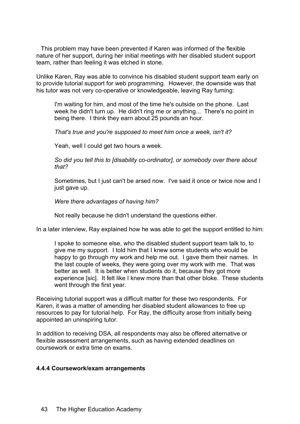This problem may have been prevented if Karen was informed of the flexible nature of her support, during her initial meetings with her disabled student support team, rather than feeling it was etched in stone.

Unlike Karen, Ray was able to convince his disabled student support team early on to provide tutorial support for web programming. However, the downside was that his tutor was not very co-operative or knowledgeable, leaving Ray fuming:

I'm waiting for him, and most of the time he's outside on the phone. Last week he didn't turn up. He didn't ring me or anything... There's no point in being there. I think they earn about 25 pounds an hour.

*That's true and you're supposed to meet him once a week, isn't it?*

Yeah, well I could get two hours a week.

*So did you tell this to [disability co-ordinator], or somebody over there about that?*

Sometimes, but I just can't be arsed now. I've said it once or twice now and I just gave up.

*Were there advantages of having him?*

Not really because he didn't understand the questions either.

In a later interview, Ray explained how he was able to get the support entitled to him:

I spoke to someone else, who the disabled student support team talk to, to give me my support. I told him that I knew some students who would be happy to go through my work and help me out. I gave them their names. In the last couple of weeks, they were going over my work with me. That was better as well. It is better when students do it, because they got more experience [sic]. It felt like I knew more than that other bloke. These students went through the first year.

Receiving tutorial support was a difficult matter for these two respondents. For Karen, it was a matter of amending her disabled student allowances to free up resources to pay for tutorial help. For Ray, the difficulty arose from initially being appointed an uninspiring tutor.

In addition to receiving DSA, all respondents may also be offered alternative or flexible assessment arrangements, such as having extended deadlines on coursework or extra time on exams.

#### **4.4.4 Coursework/exam arrangements**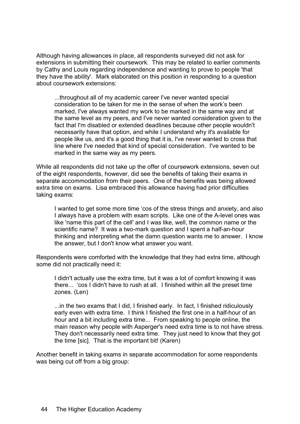Although having allowances in place, all respondents surveyed did not ask for extensions in submitting their coursework. This may be related to earlier comments by Cathy and Louis regarding independence and wanting to prove to people 'that they have the ability'. Mark elaborated on this position in responding to a question about coursework extensions:

...throughout all of my academic career I've never wanted special consideration to be taken for me in the sense of when the work's been marked, I've always wanted my work to be marked in the same way and at the same level as my peers, and I've never wanted consideration given to the fact that I'm disabled or extended deadlines because other people wouldn't necessarily have that option, and while I understand why it's available for people like us, and it's a good thing that it is, I've never wanted to cross that line where I've needed that kind of special consideration. I've wanted to be marked in the same way as my peers.

While all respondents did not take up the offer of coursework extensions, seven out of the eight respondents, however, did see the benefits of taking their exams in separate accommodation from their peers. One of the benefits was being allowed extra time on exams. Lisa embraced this allowance having had prior difficulties taking exams:

I wanted to get some more time 'cos of the stress things and anxiety, and also I always have a problem with exam scripts. Like one of the A-level ones was like 'name this part of the cell' and I was like, well, the common name or the scientific name? It was a two-mark question and I spent a half-an-hour thinking and interpreting what the damn question wants me to answer. I know the answer, but I don't know what answer you want.

Respondents were comforted with the knowledge that they had extra time, although some did not practically need it:

I didn't actually use the extra time, but it was a lot of comfort knowing it was there... 'cos I didn't have to rush at all. I finished within all the preset time zones. (Len)

...in the two exams that I did, I finished early. In fact, I finished ridiculously early even with extra time. I think I finished the first one in a half-hour of an hour and a bit including extra time... From speaking to people online, the main reason why people with Asperger's need extra time is to not have stress. They don't necessarily need extra time. They just need to know that they got the time [sic]. That is the important bit! (Karen)

Another benefit in taking exams in separate accommodation for some respondents was being cut off from a big group: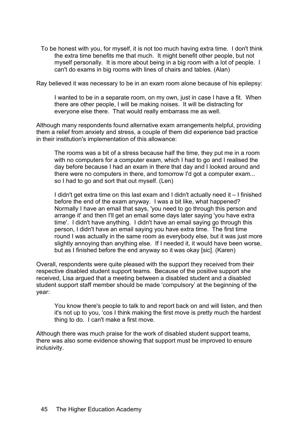To be honest with you, for myself, it is not too much having extra time. I don't think the extra time benefits me that much. It might benefit other people, but not myself personally. It is more about being in a big room with a lot of people. I can't do exams in big rooms with lines of chairs and tables. (Alan)

Ray believed it was necessary to be in an exam room alone because of his epilepsy:

I wanted to be in a separate room, on my own, just in case I have a fit. When there are other people, I will be making noises. It will be distracting for everyone else there. That would really embarrass me as well.

Although many respondents found alternative exam arrangements helpful, providing them a relief from anxiety and stress, a couple of them did experience bad practice in their institution's implementation of this allowance:

The rooms was a bit of a stress because half the time, they put me in a room with no computers for a computer exam, which I had to go and I realised the day before because I had an exam in there that day and I looked around and there were no computers in there, and tomorrow I'd got a computer exam... so I had to go and sort that out myself. (Len)

I didn't get extra time on this last exam and I didn't actually need it – I finished before the end of the exam anyway. I was a bit like, what happened? Normally I have an email that says, 'you need to go through this person and arrange it' and then I'll get an email some days later saying 'you have extra time'. I didn't have anything. I didn't have an email saying go through this person, I didn't have an email saying you have extra time. The first time round I was actually in the same room as everybody else, but it was just more slightly annoying than anything else. If I needed it, it would have been worse, but as I finished before the end anyway so it was okay [sic]. (Karen)

Overall, respondents were quite pleased with the support they received from their respective disabled student support teams. Because of the positive support she received, Lisa argued that a meeting between a disabled student and a disabled student support staff member should be made 'compulsory' at the beginning of the year:

You know there's people to talk to and report back on and will listen, and then it's not up to you, 'cos I think making the first move is pretty much the hardest thing to do. I can't make a first move.

Although there was much praise for the work of disabled student support teams, there was also some evidence showing that support must be improved to ensure inclusivity.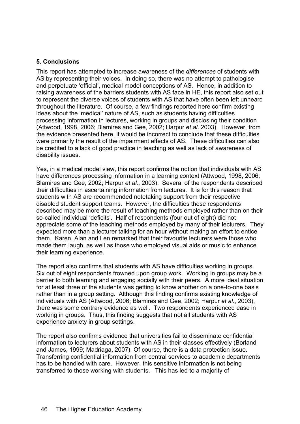# **5. Conclusions**

This report has attempted to increase awareness of the *differences* of students with AS by representing their voices. In doing so, there was no attempt to pathologise and perpetuate 'official', medical model conceptions of AS. Hence, in addition to raising awareness of the barriers students with AS face in HE, this report also set out to represent the diverse voices of students with AS that have often been left unheard throughout the literature. Of course, a few findings reported here confirm existing ideas about the 'medical' nature of AS, such as students having difficulties processing information in lectures, working in groups and disclosing their condition (Attwood, 1998, 2006; Blamires and Gee, 2002; Harpur *et al*. 2003). However, from the evidence presented here, it would be incorrect to conclude that these difficulties were primarily the result of the impairment effects of AS. These difficulties can also be credited to a lack of good practice in teaching as well as lack of awareness of disability issues.

Yes, in a medical model view, this report confirms the notion that individuals with AS have differences processing information in a learning context (Attwood, 1998, 2006; Blamires and Gee, 2002; Harpur *et al.*, 2003). Several of the respondents described their difficulties in ascertaining information from lectures. It is for this reason that students with AS are recommended notetaking support from their respective disabled student support teams. However, the difficulties these respondents described may be more the result of teaching methods employed rather than on their so-called individual 'deficits'. Half of respondents (four out of eight) did not appreciate some of the teaching methods employed by many of their lecturers. They expected more than a lecturer talking for an hour without making an effort to entice them. Karen, Alan and Len remarked that their favourite lecturers were those who made them laugh, as well as those who employed visual aids or music to enhance their learning experience.

The report also confirms that students with AS have difficulties working in groups. Six out of eight respondents frowned upon group work. Working in groups may be a barrier to both learning and engaging socially with their peers. A more ideal situation for at least three of the students was getting to know another on a one-to-one basis rather than in a group setting. Although this finding confirms existing knowledge of individuals with AS (Attwood, 2006; Blamires and Gee, 2002; Harpur *et al.*, 2003), there was some contrary evidence as well. Two respondents experienced ease in working in groups. Thus, this finding suggests that not all students with AS experience anxiety in group settings.

The report also confirms evidence that universities fail to disseminate confidential information to lecturers about students with AS in their classes effectively (Borland and James, 1999; Madriaga, 2007). Of course, there is a data protection issue. Transferring confidential information from central services to academic departments has to be handled with care. However, this sensitive information is not being transferred to those working with students. This has led to a majority of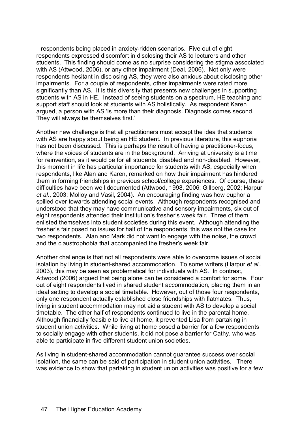respondents being placed in anxiety-ridden scenarios. Five out of eight respondents expressed discomfort in disclosing their AS to lecturers and other students. This finding should come as no surprise considering the stigma associated with AS (Attwood, 2006), or any other impairment (Deal, 2006). Not only were respondents hesitant in disclosing AS, they were also anxious about disclosing other impairments. For a couple of respondents, other impairments were rated more significantly than AS. It is this diversity that presents new challenges in supporting students with AS in HE. Instead of seeing students on a spectrum, HE teaching and support staff should look at students with AS holistically. As respondent Karen argued, a person with AS 'is more than their diagnosis. Diagnosis comes second. They will always be themselves first.'

Another new challenge is that all practitioners must accept the idea that students with AS are happy about being an HE student. In previous literature, this euphoria has not been discussed. This is perhaps the result of having a practitioner-focus, where the voices of students are in the background. Arriving at university is a time for reinvention, as it would be for all students, disabled and non-disabled. However, this moment in life has particular importance for students with AS, especially when respondents, like Alan and Karen, remarked on how their impairment has hindered them in forming friendships in previous school/college experiences. Of course, these difficulties have been well documented (Attwood, 1998, 2006; Gillberg, 2002; Harpur *et al*., 2003; Molloy and Vasil, 2004). An encouraging finding was how euphoria spilled over towards attending social events. Although respondents recognised and understood that they may have communicative and sensory impairments, six out of eight respondents attended their institution's fresher's week fair. Three of them enlisted themselves into student societies during this event. Although attending the fresher's fair posed no issues for half of the respondents, this was not the case for two respondents. Alan and Mark did not want to engage with the noise, the crowd and the claustrophobia that accompanied the fresher's week fair.

Another challenge is that not all respondents were able to overcome issues of social isolation by living in student-shared accommodation. To some writers (Harpur *et al.*, 2003), this may be seen as problematical for individuals with AS. In contrast, Attwood (2006) argued that being alone can be considered a comfort for some. Four out of eight respondents lived in shared student accommodation, placing them in an ideal setting to develop a social timetable. However, out of those four respondents, only one respondent actually established close friendships with flatmates. Thus, living in student accommodation may not aid a student with AS to develop a social timetable. The other half of respondents continued to live in the parental home. Although financially feasible to live at home, it prevented Lisa from partaking in student union activities. While living at home posed a barrier for a few respondents to socially engage with other students, it did not pose a barrier for Cathy, who was able to participate in five different student union societies.

As living in student-shared accommodation cannot guarantee success over social isolation, the same can be said of participation in student union activities. There was evidence to show that partaking in student union activities was positive for a few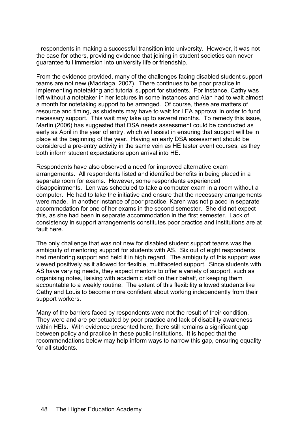respondents in making a successful transition into university. However, it was not the case for others, providing evidence that joining in student societies can never guarantee full immersion into university life or friendship.

From the evidence provided, many of the challenges facing disabled student support teams are not new (Madriaga, 2007). There continues to be poor practice in implementing notetaking and tutorial support for students. For instance, Cathy was left without a notetaker in her lectures in some instances and Alan had to wait almost a month for notetaking support to be arranged. Of course, these are matters of resource and timing, as students may have to wait for LEA approval in order to fund necessary support. This wait may take up to several months. To remedy this issue, Martin (2006) has suggested that DSA needs assessment could be conducted as early as April in the year of entry, which will assist in ensuring that support will be in place at the beginning of the year. Having an early DSA assessment should be considered a pre-entry activity in the same vein as HE taster event courses, as they both inform student expectations upon arrival into HE.

Respondents have also observed a need for improved alternative exam arrangements. All respondents listed and identified benefits in being placed in a separate room for exams. However, some respondents experienced disappointments. Len was scheduled to take a computer exam in a room without a computer. He had to take the initiative and ensure that the necessary arrangements were made. In another instance of poor practice, Karen was not placed in separate accommodation for one of her exams in the second semester. She did not expect this, as she had been in separate accommodation in the first semester. Lack of consistency in support arrangements constitutes poor practice and institutions are at fault here.

The only challenge that was not new for disabled student support teams was the ambiguity of mentoring support for students with AS. Six out of eight respondents had mentoring support and held it in high regard. The ambiguity of this support was viewed positively as it allowed for flexible, multifaceted support. Since students with AS have varying needs, they expect mentors to offer a variety of support, such as organising notes, liaising with academic staff on their behalf, or keeping them accountable to a weekly routine. The extent of this flexibility allowed students like Cathy and Louis to become more confident about working independently from their support workers.

Many of the barriers faced by respondents were not the result of their condition. They were and are perpetuated by poor practice and lack of disability awareness within HEIs. With evidence presented here, there still remains a significant gap between policy and practice in these public institutions. It is hoped that the recommendations below may help inform ways to narrow this gap, ensuring equality for all students.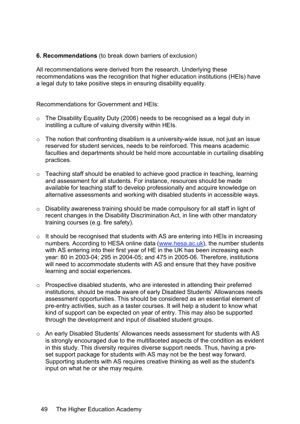# **6. Recommendations** (to break down barriers of exclusion)

All recommendations were derived from the research. Underlying these recommendations was the recognition that higher education institutions (HEIs) have a legal duty to take positive steps in ensuring disability equality.

Recommendations for Government and HEIs:

- o The Disability Equality Duty (2006) needs to be recognised as a legal duty in instilling a culture of valuing diversity within HEIs.
- $\circ$  The notion that confronting disablism is a university-wide issue, not just an issue reserved for student services, needs to be reinforced. This means academic faculties and departments should be held more accountable in curtailing disabling practices.
- o Teaching staff should be enabled to achieve good practice in teaching, learning and assessment for all students. For instance, resources should be made available for teaching staff to develop professionally and acquire knowledge on alternative assessments and working with disabled students in accessible ways.
- o Disability awareness training should be made compulsory for all staff in light of recent changes in the Disability Discrimination Act, in line with other mandatory training courses (e.g. fire safety).
- o It should be recognised that students with AS are entering into HEIs in increasing numbers. According to HESA online data (www.hesa.ac.uk), the number students with AS entering into their first year of HE in the UK has been increasing each year: 80 in 2003-04; 295 in 2004-05; and 475 in 2005-06. Therefore, institutions will need to accommodate students with AS and ensure that they have positive learning and social experiences.
- o Prospective disabled students, who are interested in attending their preferred institutions, should be made aware of early Disabled Students' Allowances needs assessment opportunities. This should be considered as an essential element of pre-entry activities, such as a taster courses. It will help a student to know what kind of support can be expected on year of entry. This may also be supported through the development and input of disabled student groups.
- o An early Disabled Students' Allowances needs assessment for students with AS is strongly encouraged due to the multifaceted aspects of the condition as evident in this study. This diversity requires diverse support needs. Thus, having a preset support package for students with AS may not be the best way forward. Supporting students with AS requires creative thinking as well as the student's input on what he or she may require.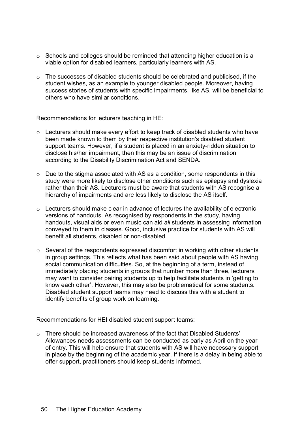- o Schools and colleges should be reminded that attending higher education is a viable option for disabled learners, particularly learners with AS.
- $\circ$  The successes of disabled students should be celebrated and publicised, if the student wishes, as an example to younger disabled people. Moreover, having success stories of students with specific impairments, like AS, will be beneficial to others who have similar conditions.

Recommendations for lecturers teaching in HE:

- o Lecturers should make every effort to keep track of disabled students who have been made known to them by their respective institution's disabled student support teams. However, if a student is placed in an anxiety-ridden situation to disclose his/her impairment, then this may be an issue of discrimination according to the Disability Discrimination Act and SENDA.
- o Due to the stigma associated with AS as a condition, some respondents in this study were more likely to disclose other conditions such as epilepsy and dyslexia rather than their AS. Lecturers must be aware that students with AS recognise a hierarchy of impairments and are less likely to disclose the AS itself.
- o Lecturers should make clear in advance of lectures the availability of electronic versions of handouts. As recognised by respondents in the study, having handouts, visual aids or even music can aid *all* students in assessing information conveyed to them in classes. Good, inclusive practice for students with AS will benefit all students, disabled or non-disabled.
- $\circ$  Several of the respondents expressed discomfort in working with other students in group settings. This reflects what has been said about people with AS having social communication difficulties. So, at the beginning of a term, instead of immediately placing students in groups that number more than three, lecturers may want to consider pairing students up to help facilitate students in 'getting to know each other'. However, this may also be problematical for some students. Disabled student support teams may need to discuss this with a student to identify benefits of group work on learning.

Recommendations for HEI disabled student support teams:

 $\circ$  There should be increased awareness of the fact that Disabled Students' Allowances needs assessments can be conducted as early as April on the year of entry. This will help ensure that students with AS will have necessary support in place by the beginning of the academic year. If there is a delay in being able to offer support, practitioners should keep students informed.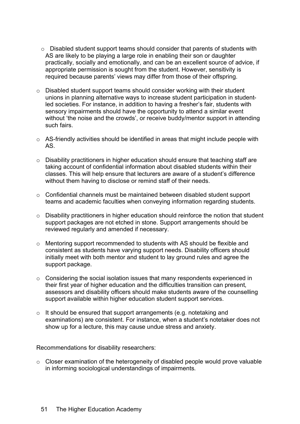- o Disabled student support teams should consider that parents of students with AS are likely to be playing a large role in enabling their son or daughter practically, socially and emotionally, and can be an excellent source of advice, if appropriate permission is sought from the student. However, sensitivity is required because parents' views may differ from those of their offspring.
- o Disabled student support teams should consider working with their student unions in planning alternative ways to increase student participation in studentled societies. For instance, in addition to having a fresher's fair, students with sensory impairments should have the opportunity to attend a similar event without 'the noise and the crowds', or receive buddy/mentor support in attending such fairs.
- o AS-friendly activities should be identified in areas that might include people with AS.
- o Disability practitioners in higher education should ensure that teaching staff are taking account of confidential information about disabled students within their classes. This will help ensure that lecturers are aware of a student's difference without them having to disclose or remind staff of their needs.
- o Confidential channels must be maintained between disabled student support teams and academic faculties when conveying information regarding students.
- o Disability practitioners in higher education should reinforce the notion that student support packages are not etched in stone. Support arrangements should be reviewed regularly and amended if necessary.
- o Mentoring support recommended to students with AS should be flexible and consistent as students have varying support needs. Disability officers should initially meet with both mentor and student to lay ground rules and agree the support package.
- o Considering the social isolation issues that many respondents experienced in their first year of higher education and the difficulties transition can present, assessors and disability officers should make students aware of the counselling support available within higher education student support services.
- o It should be ensured that support arrangements (e.g. notetaking and examinations) are consistent. For instance, when a student's notetaker does not show up for a lecture, this may cause undue stress and anxiety.

Recommendations for disability researchers:

o Closer examination of the heterogeneity of disabled people would prove valuable in informing sociological understandings of impairments.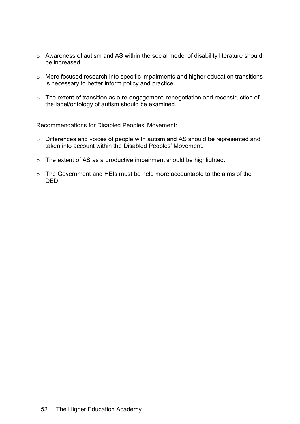- o Awareness of autism and AS within the social model of disability literature should be increased.
- o More focused research into specific impairments and higher education transitions is necessary to better inform policy and practice.
- o The extent of transition as a re-engagement, renegotiation and reconstruction of the label/ontology of autism should be examined.

Recommendations for Disabled Peoples' Movement:

- o Differences and voices of people with autism and AS should be represented and taken into account within the Disabled Peoples' Movement.
- o The extent of AS as a productive impairment should be highlighted.
- o The Government and HEIs must be held more accountable to the aims of the DED.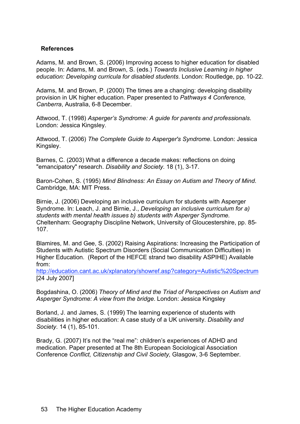#### **References**

Adams, M. and Brown, S. (2006) Improving access to higher education for disabled people. In: Adams, M. and Brown, S. (eds.) *Towards Inclusive Learning in higher education: Developing curricula for disabled students*. London: Routledge, pp. 10-22.

Adams, M. and Brown, P. (2000) The times are a changing: developing disability provision in UK higher education. Paper presented to *Pathways 4 Conference, Canberra*, Australia, 6-8 December.

Attwood, T. (1998) *Asperger's Syndrome: A guide for parents and professionals*. London: Jessica Kingsley.

Attwood, T. (2006) *The Complete Guide to Asperger's Syndrome*. London: Jessica Kingsley.

Barnes, C. (2003) What a difference a decade makes: reflections on doing "emancipatory" research. *Disability and Society*. 18 (1), 3-17.

Baron-Cohen, S. (1995) *Mind Blindness: An Essay on Autism and Theory of Mind*. Cambridge, MA: MIT Press.

Birnie, J. (2006) Developing an inclusive curriculum for students with Asperger Syndrome. In: Leach, J. and Birnie, J., *Developing an inclusive curriculum for a) students with mental health issues b) students with Asperger Syndrome*. Cheltenham: Geography Discipline Network, University of Gloucestershire, pp. 85- 107.

Blamires, M. and Gee, S. (2002) Raising Aspirations: Increasing the Participation of Students with Autistic Spectrum Disorders (Social Communication Difficulties) in Higher Education. (Report of the HEFCE strand two disability ASPIHE) Available from:

http://education.cant.ac.uk/xplanatory/showref.asp?category=Autistic%20Spectrum [24 July 2007]

Bogdashina, O. (2006) *Theory of Mind and the Triad of Perspectives on Autism and Asperger Syndrome: A view from the bridge*. London: Jessica Kingsley

Borland, J. and James, S. (1999) The learning experience of students with disabilities in higher education: A case study of a UK university. *Disability and Society*. 14 (1), 85-101.

Brady, G. (2007) It's not the "real me": children's experiences of ADHD and medication. Paper presented at The 8th European Sociological Association Conference *Conflict, Citizenship and Civil Society,* Glasgow, 3-6 September.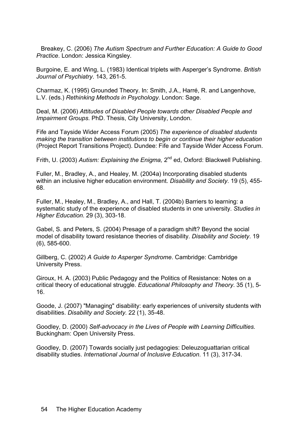Breakey, C. (2006) *The Autism Spectrum and Further Education: A Guide to Good Practice*. London: Jessica Kingsley.

Burgoine, E. and Wing, L. (1983) Identical triplets with Asperger's Syndrome. *British Journal of Psychiatry*. 143, 261-5.

Charmaz, K. (1995) Grounded Theory. In: Smith, J.A., Harré, R. and Langenhove, L.V. (eds.) *Rethinking Methods in Psychology*. London: Sage.

Deal, M. (2006) *Attitudes of Disabled People towards other Disabled People and Impairment Groups*. PhD. Thesis, City University, London.

Fife and Tayside Wider Access Forum (2005) *The experience of disabled students making the transition between institutions to begin or continue their higher education* (Project Report Transitions Project). Dundee: Fife and Tayside Wider Access Forum.

Frith, U. (2003) *Autism: Explaining the Enigma,* 2nd ed, Oxford: Blackwell Publishing.

Fuller, M., Bradley, A., and Healey, M. (2004a) Incorporating disabled students within an inclusive higher education environment. *Disability and Society*. 19 (5), 455- 68.

Fuller, M., Healey, M., Bradley, A., and Hall, T. (2004b) Barriers to learning: a systematic study of the experience of disabled students in one university. *Studies in Higher Education*. 29 (3), 303-18.

Gabel, S. and Peters, S. (2004) Presage of a paradigm shift? Beyond the social model of disability toward resistance theories of disability. *Disability and Society*. 19 (6), 585-600.

Gillberg, C. (2002) *A Guide to Asperger Syndrome*. Cambridge: Cambridge University Press.

Giroux, H. A. (2003) Public Pedagogy and the Politics of Resistance: Notes on a critical theory of educational struggle. *Educational Philosophy and Theory*. 35 (1), 5- 16.

Goode, J. (2007) "Managing" disability: early experiences of university students with disabilities. *Disability and Society*. 22 (1), 35-48.

Goodley, D. (2000) *Self-advocacy in the Lives of People with Learning Difficulties*. Buckingham: Open University Press.

Goodley, D. (2007) Towards socially just pedagogies: Deleuzoguattarian critical disability studies. *International Journal of Inclusive Education*. 11 (3), 317-34.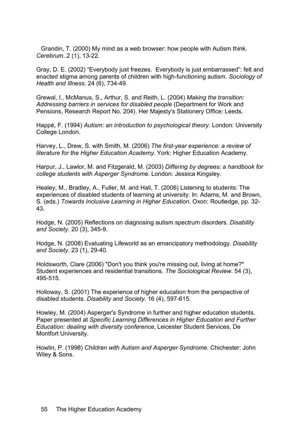Grandin, T. (2000) My mind as a web browser: how people with Autism think. *Cerebrum*..2 (1), 13-22.

Gray, D. E. (2002) "Everybody just freezes. Everybody is just embarrassed": felt and enacted stigma among parents of children with high-functioning autism. *Sociology of Health and Illness*. 24 (6), 734-49.

Grewal, I., McManus, S., Arthur, S. and Reith, L. (2004) *Making the transition: Addressing barriers in services for disabled people* (Department for Work and Pensions, Research Report No. 204). Her Majesty's Stationery Office: Leeds.

Happé, F. (1994) *Autism: an introduction to psychological theory*. London: University College London.

Harvey, L., Drew, S. with Smith, M. (2006) *The first-year experience: a review of literature for the Higher Education Academy*. York: Higher Education Academy.

Harpur, J., Lawlor, M. and Fitzgerald, M. (2003) *Differing by degrees: a handbook for college students with Asperger Syndrome*. London: Jessica Kingsley.

Healey, M., Bradley, A., Fuller, M. and Hall, T. (2006) Listening to students: The experiences of disabled students of learning at university. In: Adams, M. and Brown, S. (eds.) *Towards Inclusive Learning in Higher Education*. Oxon: Routledge, pp. 32- 43.

Hodge, N. (2005) Reflections on diagnosing autism spectrum disorders. *Disability and Society*. 20 (3), 345-9.

Hodge, N. (2008) Evaluating Lifeworld as an emancipatory methodology. *Disability and Society*. 23 (1), 29-40.

Holdsworth, Clare (2006) "Don't you think you're missing out, living at home?" Student experiences and residential transitions. *The Sociological Review*. 54 (3), 495-515.

Holloway, S. (2001) The experience of higher education from the perspective of disabled students. *Disability and Society*. 16 (4), 597-615.

Howley, M. (2004) Asperger's Syndrome in further and higher education students. Paper presented at *Specific Learning Differences in Higher Education and Further Education: dealing with diversity conference*, Leicester Student Services, De Montfort University.

Howlin, P. (1998) *Children with Autism and Asperger Syndrome*. Chichester: John Wiley & Sons.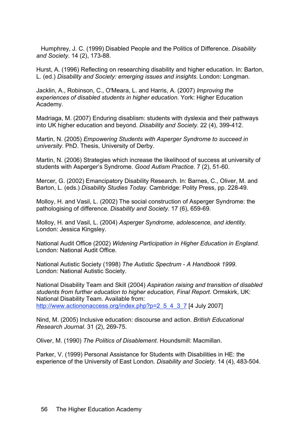Humphrey, J. C. (1999) Disabled People and the Politics of Difference. *Disability and Society*. 14 (2), 173-88.

Hurst, A. (1996) Reflecting on researching disability and higher education. In: Barton, L. (ed.) *Disability and Society: emerging issues and insights*. London: Longman.

Jacklin, A., Robinson, C., O'Meara, L. and Harris, A. (2007) *Improving the experiences of disabled students in higher education*. York: Higher Education Academy.

Madriaga, M. (2007) Enduring disablism: students with dyslexia and their pathways into UK higher education and beyond. *Disability and Society*. 22 (4), 399-412.

Martin, N. (2005) *Empowering Students with Asperger Syndrome to succeed in university*. PhD. Thesis, University of Derby.

Martin, N. (2006) Strategies which increase the likelihood of success at university of students with Asperger's Syndrome. *Good Autism Practice*. 7 (2), 51-60.

Mercer, G. (2002) Emancipatory Disability Research. In: Barnes, C., Oliver, M. and Barton, L. (eds.) *Disability Studies Today.* Cambridge: Polity Press, pp. 228-49.

Molloy, H. and Vasil, L. (2002) The social construction of Asperger Syndrome: the pathologising of difference. *Disability and Society*. 17 (6), 659-69.

Molloy, H. and Vasil, L. (2004) *Asperger Syndrome, adolescence, and identity*. London: Jessica Kingsley.

National Audit Office (2002) *Widening Participation in Higher Education in England*. London: National Audit Office.

National Autistic Society (1998) *The Autistic Spectrum - A Handbook 1999*. London: National Autistic Society.

National Disability Team and Skill (2004) *Aspiration raising and transition of disabled students from further education to higher education, Final Report*. Ormskirk, UK: National Disability Team. Available from: http://www.actiononaccess.org/index.php?p=2\_5\_4\_3\_7 [4 July 2007]

Nind, M. (2005) Inclusive education: discourse and action. *British Educational Research Journal*. 31 (2), 269-75.

Oliver, M. (1990) *The Politics of Disablement*. Houndsmill: Macmillan.

Parker, V. (1999) Personal Assistance for Students with Disabilities in HE: the experience of the University of East London. *Disability and Society*. 14 (4), 483-504.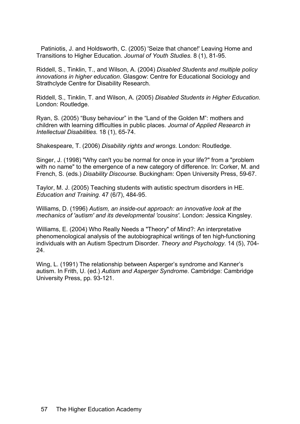Patiniotis, J. and Holdsworth, C. (2005) 'Seize that chance!' Leaving Home and Transitions to Higher Education. *Journal of Youth Studies*. 8 (1), 81-95.

Riddell, S., Tinklin, T., and Wilson, A. (2004) *Disabled Students and multiple policy innovations in higher education*. Glasgow: Centre for Educational Sociology and Strathclyde Centre for Disability Research.

Riddell, S., Tinklin, T. and Wilson, A. (2005) *Disabled Students in Higher Education*. London: Routledge.

Ryan, S. (2005) "Busy behaviour" in the "Land of the Golden M": mothers and children with learning difficulties in public places. *Journal of Applied Research in Intellectual Disabilities.* 18 (1), 65-74.

Shakespeare, T. (2006) *Disability rights and wrongs*. London: Routledge.

Singer, J. (1998) "Why can't you be normal for once in your life?" from a "problem with no name" to the emergence of a new category of difference. In: Corker, M. and French, S. (eds.) *Disability Discourse*. Buckingham: Open University Press, 59-67.

Taylor, M. J. (2005) Teaching students with autistic spectrum disorders in HE. *Education and Training*. 47 (6/7), 484-95.

Williams, D. (1996) *Autism, an inside-out approach: an innovative look at the mechanics of 'autism' and its developmental 'cousins'*. London: Jessica Kingsley.

Williams, E. (2004) Who Really Needs a "Theory" of Mind?: An interpretative phenomenological analysis of the autobiographical writings of ten high-functioning individuals with an Autism Spectrum Disorder. *Theory and Psychology*. 14 (5), 704- 24.

Wing, L. (1991) The relationship between Asperger's syndrome and Kanner's autism. In Frith, U. (ed.) *Autism and Asperger Syndrome*. Cambridge: Cambridge University Press, pp. 93-121.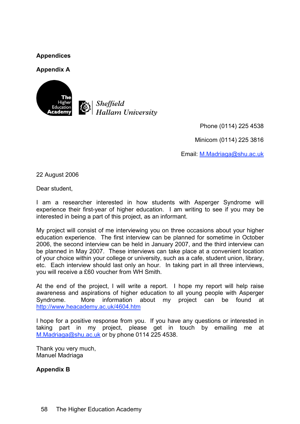# **Appendices**

#### **Appendix A**





Phone (0114) 225 4538

Minicom (0114) 225 3816

Email: M.Madriaga@shu.ac.uk

22 August 2006

Dear student,

I am a researcher interested in how students with Asperger Syndrome will experience their first-year of higher education. I am writing to see if you may be interested in being a part of this project, as an informant.

My project will consist of me interviewing you on three occasions about your higher education experience. The first interview can be planned for sometime in October 2006, the second interview can be held in January 2007, and the third interview can be planned in May 2007. These interviews can take place at a convenient location of your choice within your college or university, such as a cafe, student union, library, etc. Each interview should last only an hour. In taking part in all three interviews, you will receive a £60 voucher from WH Smith.

At the end of the project, I will write a report. I hope my report will help raise awareness and aspirations of higher education to all young people with Asperger Syndrome. More information about my project can be found at http://www.heacademy.ac.uk/4604.htm

I hope for a positive response from you. If you have any questions or interested in taking part in my project, please get in touch by emailing me at M.Madriaga@shu.ac.uk or by phone 0114 225 4538.

Thank you very much, Manuel Madriaga

**Appendix B**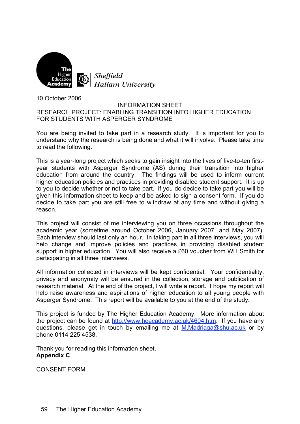

10 October 2006

#### INFORMATION SHEET RESEARCH PROJECT: ENABLING TRANSITION INTO HIGHER EDUCATION FOR STUDENTS WITH ASPERGER SYNDROME

You are being invited to take part in a research study. It is important for you to understand why the research is being done and what it will involve. Please take time to read the following.

This is a year-long project which seeks to gain insight into the lives of five-to-ten firstyear students with Asperger Syndrome (AS) during their transition into higher education from around the country. The findings will be used to inform current higher education policies and practices in providing disabled student support. It is up to you to decide whether or not to take part. If you do decide to take part you will be given this information sheet to keep and be asked to sign a consent form. If you do decide to take part you are still free to withdraw at any time and without giving a reason.

This project will consist of me interviewing you on three occasions throughout the academic year (sometime around October 2006, January 2007, and May 2007). Each interview should last only an hour. In taking part in all three interviews, you will help change and improve policies and practices in providing disabled student support in higher education. You will also receive a £60 voucher from WH Smith for participating in all three interviews.

All information collected in interviews will be kept confidential. Your confidentiality, privacy and anonymity will be ensured in the collection, storage and publication of research material. At the end of the project, I will write a report. I hope my report will help raise awareness and aspirations of higher education to all young people with Asperger Syndrome. This report will be available to you at the end of the study.

This project is funded by The Higher Education Academy. More information about the project can be found at http://www.heacademy.ac.uk/4604.htm. If you have any questions, please get in touch by emailing me at M.Madriaga@shu.ac.uk or by phone 0114 225 4538.

Thank you for reading this information sheet. **Appendix C**

CONSENT FORM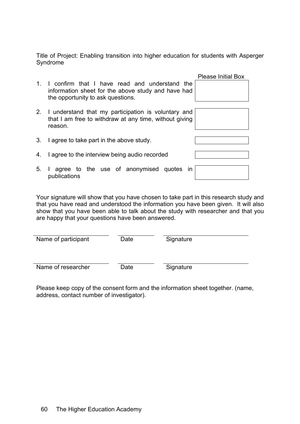Title of Project: Enabling transition into higher education for students with Asperger Syndrome

|    |                                                                                                                                             | <b>Please Initial Box</b> |  |  |  |  |
|----|---------------------------------------------------------------------------------------------------------------------------------------------|---------------------------|--|--|--|--|
|    | 1. I confirm that I have read and understand the<br>information sheet for the above study and have had<br>the opportunity to ask questions. |                           |  |  |  |  |
|    | 2. I understand that my participation is voluntary and<br>that I am free to withdraw at any time, without giving<br>reason.                 |                           |  |  |  |  |
| 3. | I agree to take part in the above study.                                                                                                    |                           |  |  |  |  |
| 4. | I agree to the interview being audio recorded                                                                                               |                           |  |  |  |  |
| 5. | I agree to the use of anonymised quotes in<br>publications                                                                                  |                           |  |  |  |  |

Your signature will show that you have chosen to take part in this research study and that you have read and understood the information you have been given. It will also show that you have been able to talk about the study with researcher and that you are happy that your questions have been answered.

| Name of participant | Date | Signature |  |
|---------------------|------|-----------|--|
| Name of researcher  | Date | Signature |  |

Please keep copy of the consent form and the information sheet together. (name, address, contact number of investigator).